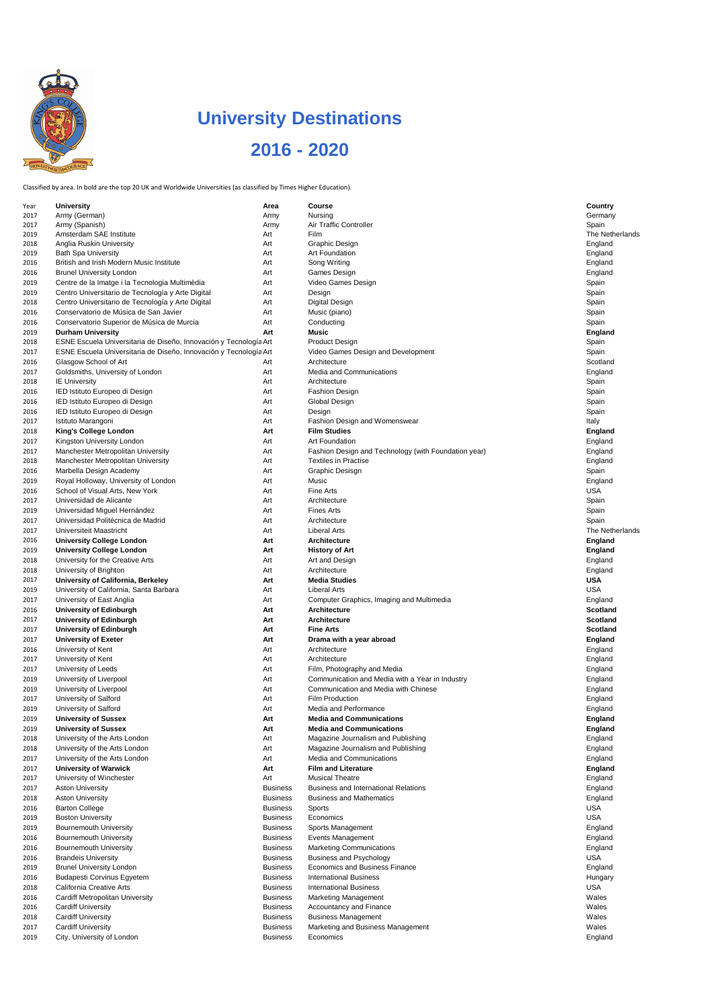Classified by area. In bold are the top 20 UK and Worldwide Universities (as classified by Times Higher Education).

| Year | <b>University</b>                                                 | <b>Area</b>     | <b>Course</b>                                        | <b>Country</b>  |
|------|-------------------------------------------------------------------|-----------------|------------------------------------------------------|-----------------|
| 2017 | Army (German)                                                     | Army            | <b>Nursing</b>                                       | Germany         |
| 2017 | Army (Spanish)                                                    | Army            | <b>Air Traffic Controller</b>                        | Spain           |
| 2019 | Amsterdam SAE Institute                                           | Art             | Film                                                 | The Netherlands |
| 2018 | Anglia Ruskin University                                          | Art             | Graphic Design                                       | England         |
| 2019 | <b>Bath Spa University</b>                                        | Art             | <b>Art Foundation</b>                                | England         |
| 2016 | British and Irish Modern Music Institute                          | Art             | Song Writing                                         | England         |
| 2016 | <b>Brunel University London</b>                                   | Art             | Games Design                                         | England         |
|      |                                                                   | Art             | Video Games Design                                   |                 |
| 2019 | Centre de la Imatge i la Tecnologia Multimèdia                    |                 |                                                      | Spain           |
| 2019 | Centro Universitario de Tecnología y Arte Digital                 | Art             | Design                                               | Spain           |
| 2018 | Centro Universitario de Tecnología y Arte Digital                 | Art             | <b>Digital Design</b>                                | Spain           |
| 2016 | Conservatorio de Música de San Javier                             | Art             | Music (piano)                                        | Spain           |
| 2016 | Conservatorio Superior de Música de Murcia                        | Art             | Conducting                                           | Spain           |
| 2019 | <b>Durham University</b>                                          | Art             | <b>Music</b>                                         | <b>England</b>  |
| 2018 | ESNE Escuela Universitaria de Diseño, Innovación y Tecnología Art |                 | <b>Product Design</b>                                | Spain           |
| 2017 | ESNE Escuela Universitaria de Diseño, Innovación y Tecnología Art |                 | Video Games Design and Development                   | Spain           |
|      | Glasgow School of Art                                             | Art             | Architecture                                         | Scotland        |
| 2016 |                                                                   |                 |                                                      |                 |
| 2017 | Goldsmiths, University of London                                  | Art             | Media and Communications                             | England         |
| 2018 | <b>IE University</b>                                              | Art             | Architecture                                         | Spain           |
| 2016 | IED Istituto Europeo di Design                                    | Art             | <b>Fashion Design</b>                                | Spain           |
| 2016 | IED Istituto Europeo di Design                                    | Art             | <b>Global Design</b>                                 | Spain           |
| 2016 | IED Istituto Europeo di Design                                    | Art             | Design                                               | Spain           |
| 2017 | Istituto Marangoni                                                | Art             | Fashion Design and Womenswear                        | Italy           |
| 2018 | <b>King's College London</b>                                      | Art             | <b>Film Studies</b>                                  | <b>England</b>  |
|      | Kingston University London                                        | Art             | <b>Art Foundation</b>                                | England         |
| 2017 |                                                                   |                 |                                                      |                 |
| 2017 | <b>Manchester Metropolitan University</b>                         | Art             | Fashion Design and Technology (with Foundation year) | England         |
| 2018 | <b>Manchester Metropolitan University</b>                         | Art             | <b>Textiles in Practise</b>                          | England         |
| 2016 | Marbella Design Academy                                           | Art             | <b>Graphic Desisgn</b>                               | Spain           |
| 2019 | Royal Holloway, University of London                              | Art             | Music                                                | England         |
| 2016 | School of Visual Arts, New York                                   | Art             | Fine Arts                                            | <b>USA</b>      |
| 2017 | Universidad de Alicante                                           | Art             | Architecture                                         | Spain           |
| 2019 | Universidad Miguel Hernández                                      | Art             | <b>Fines Arts</b>                                    | Spain           |
| 2017 | Universidad Politécnica de Madrid                                 | Art             | Architecture                                         | Spain           |
|      | Universiteit Maastricht                                           | Art             | <b>Liberal Arts</b>                                  | The Netherlands |
| 2017 |                                                                   |                 |                                                      |                 |
| 2016 | <b>University College London</b>                                  | Art             | <b>Architecture</b>                                  | <b>England</b>  |
| 2019 | <b>University College London</b>                                  | Art             | <b>History of Art</b>                                | <b>England</b>  |
| 2018 | University for the Creative Arts                                  | Art             | Art and Design                                       | England         |
| 2018 | University of Brighton                                            | Art             | Architecture                                         | England         |
| 2017 | <b>University of California, Berkeley</b>                         | Art             | <b>Media Studies</b>                                 | <b>USA</b>      |
| 2019 | University of California, Santa Barbara                           | Art             | <b>Liberal Arts</b>                                  | <b>USA</b>      |
| 2017 | University of East Anglia                                         | Art             | Computer Graphics, Imaging and Multimedia            | England         |
| 2016 | <b>University of Edinburgh</b>                                    | Art             | <b>Architecture</b>                                  | <b>Scotland</b> |
|      |                                                                   |                 |                                                      |                 |
| 2017 | <b>University of Edinburgh</b>                                    | Art             | <b>Architecture</b>                                  | <b>Scotland</b> |
| 2017 | <b>University of Edinburgh</b>                                    | Art             | <b>Fine Arts</b>                                     | <b>Scotland</b> |
| 2017 | <b>University of Exeter</b>                                       | Art             | Drama with a year abroad                             | <b>England</b>  |
| 2016 | University of Kent                                                | Art             | Architecture                                         | England         |
| 2017 | University of Kent                                                | Art             | Architecture                                         | England         |
| 2017 | University of Leeds                                               | Art             | Film, Photography and Media                          | England         |
| 2019 | University of Liverpool                                           | Art             | Communication and Media with a Year in Industry      | England         |
| 2019 | University of Liverpool                                           | Art             | Communication and Media with Chinese                 | England         |
|      | <b>University of Salford</b>                                      | Art             | <b>Film Production</b>                               |                 |
| 2017 |                                                                   |                 |                                                      | England         |
| 2019 | <b>University of Salford</b>                                      | Art             | Media and Performance                                | England         |
| 2019 | <b>University of Sussex</b>                                       | Art             | <b>Media and Communications</b>                      | <b>England</b>  |
| 2019 | <b>University of Sussex</b>                                       | Art             | <b>Media and Communications</b>                      | <b>England</b>  |
| 2018 | University of the Arts London                                     | Art             | Magazine Journalism and Publishing                   | England         |
| 2018 | University of the Arts London                                     | Art             | Magazine Journalism and Publishing                   | England         |
| 2017 | University of the Arts London                                     | Art             | <b>Media and Communications</b>                      | England         |
| 2017 | <b>University of Warwick</b>                                      | Art             | <b>Film and Literature</b>                           | <b>England</b>  |
| 2017 | University of Winchester                                          | Art             | <b>Musical Theatre</b>                               | England         |
|      |                                                                   |                 | <b>Business and International Relations</b>          |                 |
| 2017 | <b>Aston University</b>                                           | <b>Business</b> |                                                      | England         |
| 2018 | <b>Aston University</b>                                           | <b>Business</b> | <b>Business and Mathematics</b>                      | England         |
| 2016 | <b>Barton College</b>                                             | <b>Business</b> | <b>Sports</b>                                        | <b>USA</b>      |
| 2019 | <b>Boston University</b>                                          | <b>Business</b> | Economics                                            | <b>USA</b>      |
| 2019 | <b>Bournemouth University</b>                                     | <b>Business</b> | Sports Management                                    | England         |
| 2016 | <b>Bournemouth University</b>                                     | <b>Business</b> | <b>Events Management</b>                             | England         |
| 2016 | <b>Bournemouth University</b>                                     | <b>Business</b> | <b>Marketing Communications</b>                      | England         |
| 2016 | <b>Brandeis University</b>                                        | <b>Business</b> | <b>Business and Psychology</b>                       | <b>USA</b>      |
|      |                                                                   | <b>Business</b> | <b>Economics and Business Finance</b>                |                 |
| 2019 | <b>Brunel University London</b>                                   |                 |                                                      | England         |
| 2016 | <b>Budapesti Corvinus Egyetem</b>                                 | <b>Business</b> | <b>International Business</b>                        | Hungary         |
| 2018 | <b>California Creative Arts</b>                                   | <b>Business</b> | <b>International Business</b>                        | <b>USA</b>      |
| 2016 | <b>Cardiff Metropolitan University</b>                            | <b>Business</b> | <b>Marketing Management</b>                          | Wales           |
| 2016 | <b>Cardiff University</b>                                         | <b>Business</b> | <b>Accountancy and Finance</b>                       | Wales           |
| 2018 | <b>Cardiff University</b>                                         | <b>Business</b> | <b>Business Management</b>                           | Wales           |
| 2017 |                                                                   |                 |                                                      | Wales           |
|      | <b>Cardiff University</b>                                         | <b>Business</b> | Marketing and Business Management                    |                 |
| 2019 | City, University of London                                        | <b>Business</b> | Economics                                            | England         |



## **University Destinations 2016 - 2020**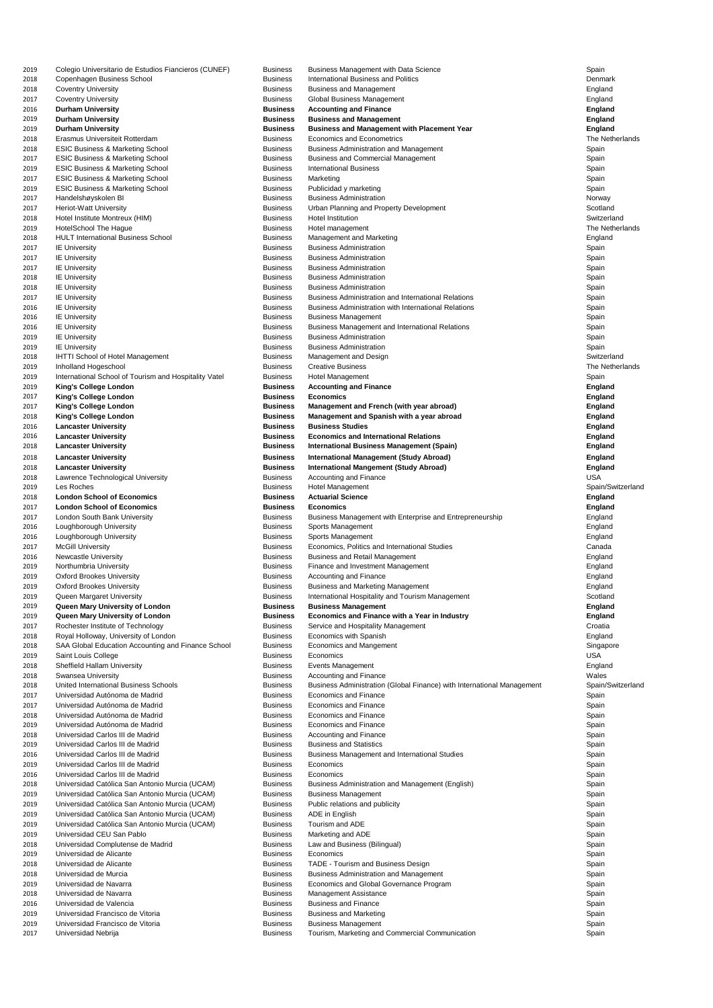| 2019         | Colegio Universitario de Estudios Fiancieros (CUNEF)                      | <b>Business</b>                    | <b>Business Management with Data Science</b>                                             | Spain                            |
|--------------|---------------------------------------------------------------------------|------------------------------------|------------------------------------------------------------------------------------------|----------------------------------|
| 2018         | Copenhagen Business School                                                | <b>Business</b>                    | <b>International Business and Politics</b>                                               | Denmark                          |
| 2018         | <b>Coventry University</b>                                                | <b>Business</b>                    | <b>Business and Management</b>                                                           | England                          |
| 2017<br>2016 | <b>Coventry University</b><br><b>Durham University</b>                    | <b>Business</b><br><b>Business</b> | <b>Global Business Management</b>                                                        | England                          |
| 2019         | <b>Durham University</b>                                                  | <b>Business</b>                    | <b>Accounting and Finance</b><br><b>Business and Management</b>                          | <b>England</b><br><b>England</b> |
| 2019         | <b>Durham University</b>                                                  | <b>Business</b>                    | <b>Business and Management with Placement Year</b>                                       | <b>England</b>                   |
| 2018         | Erasmus Universiteit Rotterdam                                            | <b>Business</b>                    | <b>Economics and Econometrics</b>                                                        | The Netherlands                  |
| 2018         | <b>ESIC Business &amp; Marketing School</b>                               | <b>Business</b>                    | <b>Business Administration and Management</b>                                            | Spain                            |
| 2017         | <b>ESIC Business &amp; Marketing School</b>                               | <b>Business</b>                    | <b>Business and Commercial Management</b>                                                | Spain                            |
| 2019         | <b>ESIC Business &amp; Marketing School</b>                               | <b>Business</b>                    | <b>International Business</b>                                                            | Spain                            |
| 2017         | <b>ESIC Business &amp; Marketing School</b>                               | <b>Business</b>                    | Marketing                                                                                | Spain                            |
| 2019         | <b>ESIC Business &amp; Marketing School</b>                               | <b>Business</b>                    | Publicidad y marketing                                                                   | Spain                            |
| 2017         | Handelshøyskolen BI                                                       | <b>Business</b>                    | <b>Business Administration</b>                                                           | Norway                           |
| 2017<br>2018 | <b>Heriot-Watt University</b><br>Hotel Institute Montreux (HIM)           | <b>Business</b><br><b>Business</b> | Urban Planning and Property Development<br><b>Hotel Institution</b>                      | Scotland<br>Switzerland          |
| 2019         | <b>HotelSchool The Hague</b>                                              | <b>Business</b>                    | Hotel management                                                                         | The Netherlands                  |
| 2018         | <b>HULT International Business School</b>                                 | <b>Business</b>                    | <b>Management and Marketing</b>                                                          | England                          |
| 2017         | <b>IE University</b>                                                      | <b>Business</b>                    | <b>Business Administration</b>                                                           | Spain                            |
| 2017         | <b>IE University</b>                                                      | <b>Business</b>                    | <b>Business Administration</b>                                                           | Spain                            |
| 2017         | <b>IE University</b>                                                      | <b>Business</b>                    | <b>Business Administration</b>                                                           | Spain                            |
| 2018         | <b>IE University</b>                                                      | <b>Business</b>                    | <b>Business Administration</b>                                                           | Spain                            |
| 2018         | <b>IE University</b>                                                      | <b>Business</b>                    | <b>Business Administration</b>                                                           | Spain                            |
| 2017         | <b>IE University</b>                                                      | <b>Business</b>                    | <b>Business Administration and International Relations</b>                               | Spain                            |
| 2016         | <b>IE University</b>                                                      | <b>Business</b>                    | <b>Business Administration with International Relations</b>                              | Spain                            |
| 2016         | <b>IE University</b>                                                      | <b>Business</b>                    | <b>Business Management</b>                                                               | Spain                            |
| 2016         | <b>IE University</b>                                                      | <b>Business</b><br><b>Business</b> | <b>Business Management and International Relations</b><br><b>Business Administration</b> | Spain                            |
| 2019<br>2019 | <b>IE University</b><br><b>IE University</b>                              | <b>Business</b>                    | <b>Business Administration</b>                                                           | Spain<br>Spain                   |
| 2018         | <b>IHTTI School of Hotel Management</b>                                   | <b>Business</b>                    | Management and Design                                                                    | Switzerland                      |
| 2019         | Inholland Hogeschool                                                      | <b>Business</b>                    | <b>Creative Business</b>                                                                 | The Netherlands                  |
| 2019         | International School of Tourism and Hospitality Vatel                     | <b>Business</b>                    | Hotel Management                                                                         | Spain                            |
| 2019         | <b>King's College London</b>                                              | <b>Business</b>                    | <b>Accounting and Finance</b>                                                            | <b>England</b>                   |
| 2017         | <b>King's College London</b>                                              | <b>Business</b>                    | <b>Economics</b>                                                                         | <b>England</b>                   |
| 2017         | <b>King's College London</b>                                              | <b>Business</b>                    | Management and French (with year abroad)                                                 | <b>England</b>                   |
| 2018         | <b>King's College London</b>                                              | <b>Business</b>                    | Management and Spanish with a year abroad                                                | <b>England</b>                   |
| 2016         | <b>Lancaster University</b>                                               | <b>Business</b>                    | <b>Business Studies</b>                                                                  | <b>England</b>                   |
| 2016         | <b>Lancaster University</b>                                               | <b>Business</b>                    | <b>Economics and International Relations</b>                                             | <b>England</b>                   |
| 2018         | <b>Lancaster University</b>                                               | <b>Business</b>                    | <b>International Business Management (Spain)</b>                                         | <b>England</b>                   |
| 2018         | <b>Lancaster University</b>                                               | <b>Business</b>                    | <b>International Management (Study Abroad)</b>                                           | <b>England</b>                   |
| 2018         | <b>Lancaster University</b>                                               | <b>Business</b>                    | <b>International Mangement (Study Abroad)</b>                                            | <b>England</b>                   |
| 2018<br>2019 | Lawrence Technological University<br>Les Roches                           | <b>Business</b><br><b>Business</b> | <b>Accounting and Finance</b><br>Hotel Management                                        | <b>USA</b><br>Spain/Switzerland  |
| 2018         | <b>London School of Economics</b>                                         | <b>Business</b>                    | <b>Actuarial Science</b>                                                                 | <b>England</b>                   |
| 2017         | <b>London School of Economics</b>                                         | <b>Business</b>                    | <b>Economics</b>                                                                         | <b>England</b>                   |
| 2017         | <b>London South Bank University</b>                                       | <b>Business</b>                    | Business Management with Enterprise and Entrepreneurship                                 | England                          |
| 2016         | Loughborough University                                                   | <b>Business</b>                    | Sports Management                                                                        | England                          |
| 2016         | Loughborough University                                                   | <b>Business</b>                    | Sports Management                                                                        | England                          |
| 2017         | <b>McGill University</b>                                                  | <b>Business</b>                    | Economics, Politics and International Studies                                            | Canada                           |
|              |                                                                           |                                    | <b>Business and Retail Management</b>                                                    |                                  |
| 2016         | <b>Newcastle University</b>                                               | <b>Business</b>                    |                                                                                          | England                          |
| 2019         | Northumbria University                                                    | <b>Business</b>                    | Finance and Investment Management                                                        | England                          |
| 2019         | <b>Oxford Brookes University</b>                                          | <b>Business</b>                    | <b>Accounting and Finance</b>                                                            | England                          |
| 2019         | <b>Oxford Brookes University</b>                                          | <b>Business</b>                    | <b>Business and Marketing Management</b>                                                 | England                          |
| 2019         | Queen Margaret University                                                 | <b>Business</b>                    | International Hospitality and Tourism Management                                         | Scotland                         |
| 2019         | Queen Mary University of London                                           | <b>Business</b>                    | <b>Business Management</b>                                                               | <b>England</b>                   |
| 2019         | Queen Mary University of London                                           | <b>Business</b>                    | <b>Economics and Finance with a Year in Industry</b>                                     | <b>England</b><br>Croatia        |
| 2017<br>2018 | Rochester Institute of Technology<br>Royal Holloway, University of London | <b>Business</b><br><b>Business</b> | Service and Hospitality Management<br>Economics with Spanish                             | England                          |
| 2018         | SAA Global Education Accounting and Finance School                        | <b>Business</b>                    | <b>Economics and Mangement</b>                                                           | Singapore                        |
| 2019         | Saint Louis College                                                       | <b>Business</b>                    | Economics                                                                                | <b>USA</b>                       |
| 2018         | <b>Sheffield Hallam University</b>                                        | <b>Business</b>                    | Events Management                                                                        | England                          |
| 2018         | <b>Swansea University</b>                                                 | <b>Business</b>                    | <b>Accounting and Finance</b>                                                            | Wales                            |
| 2018         | <b>United International Business Schools</b>                              | <b>Business</b>                    | Business Administration (Global Finance) with International Management                   | Spain/Switzerland                |
| 2017         | Universidad Autónoma de Madrid                                            | <b>Business</b>                    | <b>Economics and Finance</b>                                                             | Spain                            |
| 2017         | Universidad Autónoma de Madrid                                            | <b>Business</b>                    | <b>Economics and Finance</b>                                                             | Spain                            |
| 2018         | Universidad Autónoma de Madrid                                            | <b>Business</b>                    | <b>Economics and Finance</b>                                                             | Spain                            |
| 2019         | Universidad Autónoma de Madrid                                            | <b>Business</b>                    | <b>Economics and Finance</b>                                                             | Spain                            |
| 2018<br>2019 | Universidad Carlos III de Madrid<br>Universidad Carlos III de Madrid      | <b>Business</b><br><b>Business</b> | <b>Accounting and Finance</b><br><b>Business and Statistics</b>                          | Spain<br>Spain                   |
| 2016         | Universidad Carlos III de Madrid                                          | <b>Business</b>                    | <b>Business Management and International Studies</b>                                     | Spain                            |
| 2019         | Universidad Carlos III de Madrid                                          | <b>Business</b>                    | Economics                                                                                | Spain                            |
| 2016         | Universidad Carlos III de Madrid                                          | <b>Business</b>                    | Economics                                                                                | Spain                            |
| 2018         | Universidad Católica San Antonio Murcia (UCAM)                            | <b>Business</b>                    | Business Administration and Management (English)                                         | Spain                            |
| 2019         | Universidad Católica San Antonio Murcia (UCAM)                            | <b>Business</b>                    | <b>Business Management</b>                                                               | Spain                            |
| 2019         | Universidad Católica San Antonio Murcia (UCAM)                            | <b>Business</b>                    | Public relations and publicity                                                           | Spain                            |
| 2019         | Universidad Católica San Antonio Murcia (UCAM)                            | <b>Business</b>                    | ADE in English                                                                           | Spain                            |
| 2019         | Universidad Católica San Antonio Murcia (UCAM)                            | <b>Business</b>                    | Tourism and ADE                                                                          | Spain                            |
| 2019         | Universidad CEU San Pablo                                                 | <b>Business</b>                    | Marketing and ADE                                                                        | Spain                            |
| 2018         | Universidad Complutense de Madrid                                         | <b>Business</b>                    | Law and Business (Bilingual)<br>Economics                                                | Spain                            |
| 2019<br>2018 | Universidad de Alicante<br>Universidad de Alicante                        | <b>Business</b><br><b>Business</b> | TADE - Tourism and Business Design                                                       | Spain<br>Spain                   |
| 2018         | Universidad de Murcia                                                     | <b>Business</b>                    | <b>Business Administration and Management</b>                                            | Spain                            |
| 2019         | Universidad de Navarra                                                    | <b>Business</b>                    | Economics and Global Governance Program                                                  | Spain                            |
| 2018         | Universidad de Navarra                                                    | <b>Business</b>                    | <b>Management Assistance</b>                                                             | Spain                            |
| 2016         | Universidad de Valencia                                                   | <b>Business</b>                    | <b>Business and Finance</b>                                                              | Spain                            |
| 2019         | Universidad Francisco de Vitoria                                          | <b>Business</b>                    | <b>Business and Marketing</b>                                                            | Spain                            |
| 2019<br>2017 | Universidad Francisco de Vitoria<br>Universidad Nebrija                   | <b>Business</b><br><b>Business</b> | <b>Business Management</b><br>Tourism, Marketing and Commercial Communication            | Spain<br>Spain                   |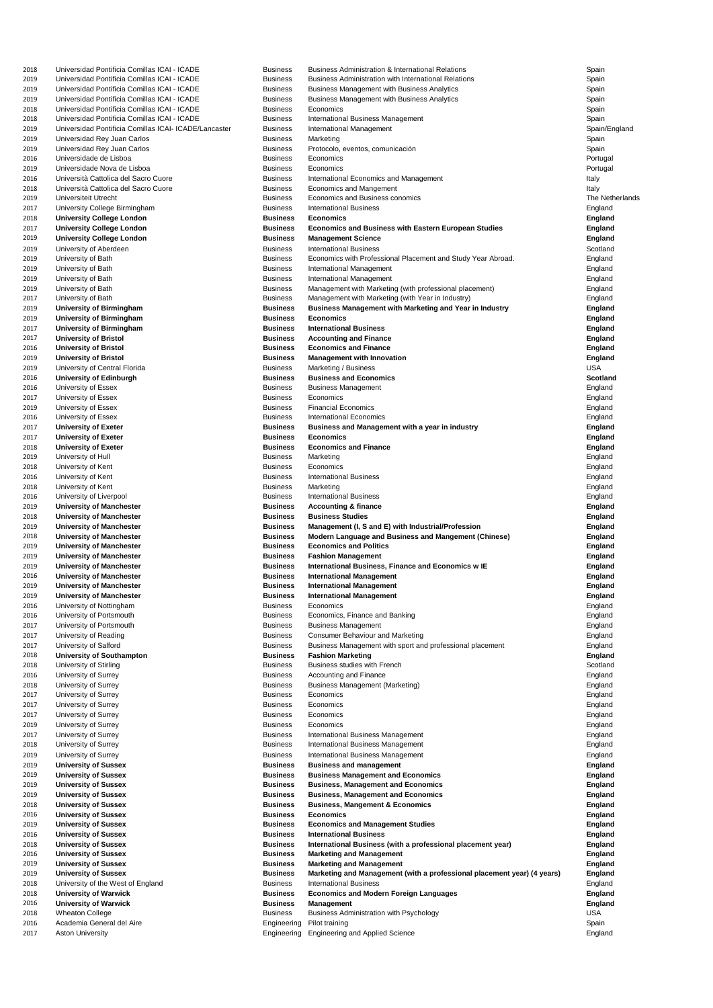| 2018 | Universidad Pontificia Comillas ICAI - ICADE          | <b>Business</b> | <b>Business Administration &amp; International Relations</b>            | Spain           |
|------|-------------------------------------------------------|-----------------|-------------------------------------------------------------------------|-----------------|
| 2019 | Universidad Pontificia Comillas ICAI - ICADE          | <b>Business</b> | <b>Business Administration with International Relations</b>             | Spain           |
| 2019 | Universidad Pontificia Comillas ICAI - ICADE          | <b>Business</b> | <b>Business Management with Business Analytics</b>                      | Spain           |
|      |                                                       |                 |                                                                         |                 |
| 2019 | Universidad Pontificia Comillas ICAI - ICADE          | <b>Business</b> | <b>Business Management with Business Analytics</b>                      | Spain           |
| 2018 | Universidad Pontificia Comillas ICAI - ICADE          | <b>Business</b> | Economics                                                               | Spain           |
| 2018 | Universidad Pontificia Comillas ICAI - ICADE          | <b>Business</b> | <b>International Business Management</b>                                | Spain           |
| 2019 | Universidad Pontificia Comillas ICAI- ICADE/Lancaster | <b>Business</b> | International Management                                                | Spain/England   |
| 2019 | Universidad Rey Juan Carlos                           | <b>Business</b> | Marketing                                                               | Spain           |
|      |                                                       | <b>Business</b> |                                                                         |                 |
| 2019 | Universidad Rey Juan Carlos                           |                 | Protocolo, eventos, comunicación                                        | Spain           |
| 2016 | Universidade de Lisboa                                | <b>Business</b> | Economics                                                               | Portugal        |
| 2019 | Universidade Nova de Lisboa                           | <b>Business</b> | Economics                                                               | Portugal        |
| 2016 | Università Cattolica del Sacro Cuore                  | <b>Business</b> | International Economics and Management                                  | Italy           |
| 2018 | Università Cattolica del Sacro Cuore                  | <b>Business</b> | <b>Economics and Mangement</b>                                          | Italy           |
|      | <b>Universiteit Utrecht</b>                           | <b>Business</b> | Economics and Business conomics                                         | The Netherlands |
| 2019 |                                                       |                 |                                                                         |                 |
| 2017 | University College Birmingham                         | <b>Business</b> | <b>International Business</b>                                           | England         |
| 2018 | <b>University College London</b>                      | <b>Business</b> | <b>Economics</b>                                                        | <b>England</b>  |
| 2017 | <b>University College London</b>                      | <b>Business</b> | <b>Economics and Business with Eastern European Studies</b>             | <b>England</b>  |
| 2019 | <b>University College London</b>                      | <b>Business</b> | <b>Management Science</b>                                               | <b>England</b>  |
|      |                                                       |                 |                                                                         |                 |
| 2019 | University of Aberdeen                                | <b>Business</b> | <b>International Business</b>                                           | Scotland        |
| 2019 | University of Bath                                    | <b>Business</b> | Economics with Professional Placement and Study Year Abroad.            | England         |
| 2019 | University of Bath                                    | <b>Business</b> | International Management                                                | England         |
| 2019 | University of Bath                                    | <b>Business</b> | International Management                                                | England         |
| 2019 | University of Bath                                    | <b>Business</b> | Management with Marketing (with professional placement)                 | England         |
|      | University of Bath                                    | <b>Business</b> | Management with Marketing (with Year in Industry)                       |                 |
| 2017 |                                                       |                 |                                                                         | England         |
| 2019 | <b>University of Birmingham</b>                       | <b>Business</b> | <b>Business Management with Marketing and Year in Industry</b>          | <b>England</b>  |
| 2019 | <b>University of Birmingham</b>                       | <b>Business</b> | <b>Economics</b>                                                        | <b>England</b>  |
| 2017 | <b>University of Birmingham</b>                       | <b>Business</b> | <b>International Business</b>                                           | <b>England</b>  |
| 2017 | <b>University of Bristol</b>                          | <b>Business</b> | <b>Accounting and Finance</b>                                           | <b>England</b>  |
| 2016 | <b>University of Bristol</b>                          | <b>Business</b> | <b>Economics and Finance</b>                                            |                 |
|      |                                                       |                 |                                                                         | <b>England</b>  |
| 2019 | <b>University of Bristol</b>                          | <b>Business</b> | <b>Management with Innovation</b>                                       | <b>England</b>  |
| 2019 | University of Central Florida                         | <b>Business</b> | Marketing / Business                                                    | <b>USA</b>      |
| 2016 | <b>University of Edinburgh</b>                        | <b>Business</b> | <b>Business and Economics</b>                                           | <b>Scotland</b> |
| 2016 | University of Essex                                   | <b>Business</b> | <b>Business Management</b>                                              | England         |
|      |                                                       | <b>Business</b> |                                                                         |                 |
| 2017 | University of Essex                                   |                 | Economics                                                               | England         |
| 2019 | University of Essex                                   | <b>Business</b> | <b>Financial Economics</b>                                              | England         |
| 2016 | University of Essex                                   | <b>Business</b> | <b>International Economics</b>                                          | England         |
| 2017 | <b>University of Exeter</b>                           | <b>Business</b> | <b>Business and Management with a year in industry</b>                  | <b>England</b>  |
| 2017 | <b>University of Exeter</b>                           | <b>Business</b> | <b>Economics</b>                                                        | <b>England</b>  |
| 2018 | <b>University of Exeter</b>                           | <b>Business</b> | <b>Economics and Finance</b>                                            | <b>England</b>  |
|      |                                                       |                 |                                                                         |                 |
| 2019 | University of Hull                                    | <b>Business</b> | Marketing                                                               | England         |
| 2018 | University of Kent                                    | <b>Business</b> | Economics                                                               | England         |
| 2016 | University of Kent                                    | <b>Business</b> | <b>International Business</b>                                           | England         |
| 2018 | University of Kent                                    | <b>Business</b> | Marketing                                                               | England         |
|      |                                                       |                 |                                                                         |                 |
|      |                                                       |                 |                                                                         |                 |
| 2016 | University of Liverpool                               | <b>Business</b> | <b>International Business</b>                                           | England         |
| 2019 | <b>University of Manchester</b>                       | <b>Business</b> | <b>Accounting &amp; finance</b>                                         | <b>England</b>  |
| 2018 | <b>University of Manchester</b>                       | <b>Business</b> | <b>Business Studies</b>                                                 | <b>England</b>  |
| 2019 | <b>University of Manchester</b>                       | <b>Business</b> | Management (I, S and E) with Industrial/Profession                      | <b>England</b>  |
|      |                                                       |                 |                                                                         |                 |
| 2018 | <b>University of Manchester</b>                       | <b>Business</b> | <b>Modern Language and Business and Mangement (Chinese)</b>             | <b>England</b>  |
| 2019 | <b>University of Manchester</b>                       | <b>Business</b> | <b>Economics and Politics</b>                                           | <b>England</b>  |
| 2019 | <b>University of Manchester</b>                       | <b>Business</b> | <b>Fashion Management</b>                                               | <b>England</b>  |
| 2019 | <b>University of Manchester</b>                       | <b>Business</b> | <b>International Business, Finance and Economics w IE</b>               | <b>England</b>  |
| 2016 | <b>University of Manchester</b>                       | <b>Business</b> | <b>International Management</b>                                         | <b>England</b>  |
| 2019 |                                                       | <b>Business</b> | <b>International Management</b>                                         | <b>England</b>  |
|      | <b>University of Manchester</b>                       |                 |                                                                         |                 |
| 2019 | <b>University of Manchester</b>                       | <b>Business</b> | <b>International Management</b>                                         | <b>England</b>  |
| 2016 | University of Nottingham                              | <b>Business</b> | Economics                                                               | England         |
| 2016 | University of Portsmouth                              | <b>Business</b> | Economics, Finance and Banking                                          | England         |
| 2017 | University of Portsmouth                              | <b>Business</b> | <b>Business Management</b>                                              | England         |
| 2017 | University of Reading                                 | <b>Business</b> | <b>Consumer Behaviour and Marketing</b>                                 | England         |
| 2017 | University of Salford                                 | <b>Business</b> |                                                                         | England         |
|      |                                                       |                 | Business Management with sport and professional placement               |                 |
| 2018 | <b>University of Southampton</b>                      | <b>Business</b> | <b>Fashion Marketing</b>                                                | <b>England</b>  |
| 2018 | University of Stirling                                | <b>Business</b> | <b>Business studies with French</b>                                     | Scotland        |
| 2016 | <b>University of Surrey</b>                           | <b>Business</b> | <b>Accounting and Finance</b>                                           | England         |
| 2018 | University of Surrey                                  | <b>Business</b> | <b>Business Management (Marketing)</b>                                  | England         |
| 2017 | <b>University of Surrey</b>                           | <b>Business</b> | Economics                                                               | England         |
| 2017 | University of Surrey                                  | <b>Business</b> | Economics                                                               | England         |
|      |                                                       | <b>Business</b> | Economics                                                               |                 |
| 2017 | <b>University of Surrey</b>                           |                 |                                                                         | England         |
| 2019 | University of Surrey                                  | <b>Business</b> | Economics                                                               | England         |
| 2017 | <b>University of Surrey</b>                           | <b>Business</b> | International Business Management                                       | England         |
| 2018 | University of Surrey                                  | <b>Business</b> | International Business Management                                       | England         |
| 2019 | University of Surrey                                  | <b>Business</b> | International Business Management                                       | England         |
| 2019 | <b>University of Sussex</b>                           | <b>Business</b> | <b>Business and management</b>                                          | <b>England</b>  |
|      |                                                       |                 |                                                                         |                 |
| 2019 | <b>University of Sussex</b>                           | <b>Business</b> | <b>Business Management and Economics</b>                                | <b>England</b>  |
| 2019 | <b>University of Sussex</b>                           | <b>Business</b> | <b>Business, Management and Economics</b>                               | <b>England</b>  |
| 2019 | <b>University of Sussex</b>                           | <b>Business</b> | <b>Business, Management and Economics</b>                               | <b>England</b>  |
| 2018 | <b>University of Sussex</b>                           | <b>Business</b> | <b>Business, Mangement &amp; Economics</b>                              | <b>England</b>  |
| 2016 | <b>University of Sussex</b>                           | <b>Business</b> | <b>Economics</b>                                                        | <b>England</b>  |
|      |                                                       | <b>Business</b> |                                                                         |                 |
| 2019 | <b>University of Sussex</b>                           |                 | <b>Economics and Management Studies</b>                                 | <b>England</b>  |
| 2016 | <b>University of Sussex</b>                           | <b>Business</b> | <b>International Business</b>                                           | <b>England</b>  |
| 2018 | <b>University of Sussex</b>                           | <b>Business</b> | International Business (with a professional placement year)             | <b>England</b>  |
| 2016 | <b>University of Sussex</b>                           | <b>Business</b> | <b>Marketing and Management</b>                                         | <b>England</b>  |
| 2019 | <b>University of Sussex</b>                           | <b>Business</b> | <b>Marketing and Management</b>                                         | <b>England</b>  |
| 2019 | <b>University of Sussex</b>                           | <b>Business</b> | Marketing and Management (with a professional placement year) (4 years) | <b>England</b>  |
|      |                                                       |                 |                                                                         |                 |
| 2018 | University of the West of England                     | <b>Business</b> | <b>International Business</b>                                           | England         |
| 2018 | <b>University of Warwick</b>                          | <b>Business</b> | <b>Economics and Modern Foreign Languages</b>                           | <b>England</b>  |
| 2016 | <b>University of Warwick</b>                          | <b>Business</b> | <b>Management</b>                                                       | <b>England</b>  |
| 2018 | <b>Wheaton College</b>                                | <b>Business</b> | <b>Business Administration with Psychology</b>                          | <b>USA</b>      |
| 2016 | Academia General del Aire                             | Engineering     | Pilot training                                                          | Spain           |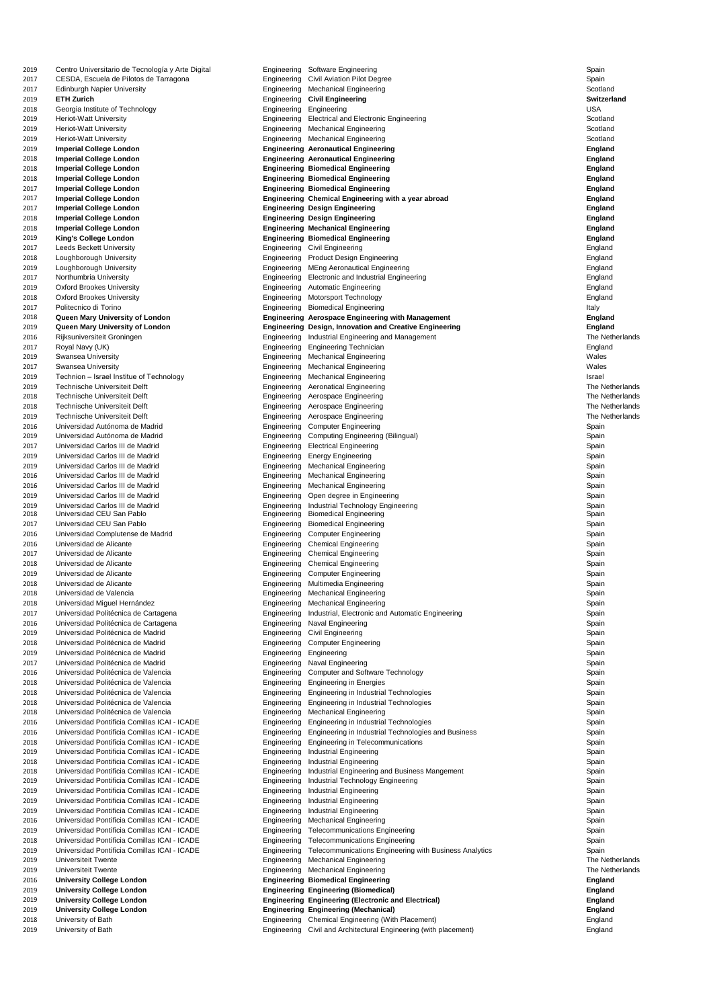| 2019         | Centro Universitario de Tecnología y Arte Digital                                | Engineering                | <b>Software Engineering</b>                                               | Spain              |
|--------------|----------------------------------------------------------------------------------|----------------------------|---------------------------------------------------------------------------|--------------------|
| 2017         | CESDA, Escuela de Pilotos de Tarragona                                           | Engineering                | <b>Civil Aviation Pilot Degree</b>                                        | Spain              |
| 2017         | <b>Edinburgh Napier University</b>                                               | Engineering                | <b>Mechanical Engineering</b>                                             | Scotland           |
| 2019         | <b>ETH Zurich</b>                                                                | Engineering                | <b>Civil Engineering</b>                                                  | <b>Switzerland</b> |
| 2018         | Georgia Institute of Technology                                                  | Engineering                | Engineering                                                               | <b>USA</b>         |
| 2019         | <b>Heriot-Watt University</b>                                                    | Engineering                | <b>Electrical and Electronic Engineering</b>                              | Scotland           |
| 2019         | <b>Heriot-Watt University</b>                                                    | Engineering                | <b>Mechanical Engineering</b>                                             | Scotland           |
| 2019         | <b>Heriot-Watt University</b>                                                    |                            | Engineering Mechanical Engineering                                        | Scotland           |
| 2019         | <b>Imperial College London</b>                                                   |                            | <b>Engineering Aeronautical Engineering</b>                               | <b>England</b>     |
| 2018         | <b>Imperial College London</b>                                                   |                            | <b>Engineering Aeronautical Engineering</b>                               | <b>England</b>     |
| 2018         | <b>Imperial College London</b>                                                   |                            | <b>Engineering Biomedical Engineering</b>                                 | <b>England</b>     |
| 2018         | <b>Imperial College London</b>                                                   |                            | <b>Engineering Biomedical Engineering</b>                                 | <b>England</b>     |
| 2017         | <b>Imperial College London</b>                                                   |                            | <b>Engineering Biomedical Engineering</b>                                 | <b>England</b>     |
| 2017         | <b>Imperial College London</b>                                                   |                            | Engineering Chemical Engineering with a year abroad                       | <b>England</b>     |
| 2017         | <b>Imperial College London</b>                                                   |                            | <b>Engineering Design Engineering</b>                                     | <b>England</b>     |
| 2018         | <b>Imperial College London</b>                                                   |                            | <b>Engineering Design Engineering</b>                                     | <b>England</b>     |
| 2018         | <b>Imperial College London</b>                                                   |                            | <b>Engineering Mechanical Engineering</b>                                 | <b>England</b>     |
| 2019         | <b>King's College London</b>                                                     |                            | <b>Engineering Biomedical Engineering</b>                                 | <b>England</b>     |
| 2017         | <b>Leeds Beckett University</b>                                                  | Engineering                | <b>Civil Engineering</b>                                                  | England            |
| 2018         | Loughborough University                                                          | Engineering                | <b>Product Design Engineering</b>                                         | England            |
| 2019         | Loughborough University                                                          | Engineering                | <b>MEng Aeronautical Engineering</b>                                      | England            |
| 2017         | Northumbria University                                                           | Engineering                | <b>Electronic and Industrial Engineering</b>                              | England            |
| 2019         | <b>Oxford Brookes University</b>                                                 | Engineering                | <b>Automatic Engineering</b>                                              | England            |
| 2018         | <b>Oxford Brookes University</b>                                                 | Engineering                | <b>Motorsport Technology</b>                                              | England            |
| 2017         | Politecnico di Torino                                                            | Engineering                | <b>Biomedical Engineering</b>                                             | Italy              |
| 2018         | <b>Queen Mary University of London</b>                                           |                            | <b>Engineering Aerospace Engineering with Management</b>                  | <b>England</b>     |
| 2019         | Queen Mary University of London                                                  |                            | <b>Engineering Design, Innovation and Creative Engineering</b>            | <b>England</b>     |
| 2016         | Rijksuniversiteit Groningen                                                      | Engineering                | Industrial Engineering and Management                                     | The Netherlands    |
| 2017         | Royal Navy (UK)                                                                  | Engineering                | <b>Engineering Technician</b>                                             | England            |
| 2019         | Swansea University                                                               |                            | Engineering Mechanical Engineering                                        | Wales<br>Wales     |
| 2017         | <b>Swansea University</b>                                                        | Engineering                | Engineering Mechanical Engineering                                        | Israel             |
| 2019<br>2019 | Technion – Israel Institue of Technology<br><b>Technische Universiteit Delft</b> | Engineering                | <b>Mechanical Engineering</b><br><b>Aeronatical Engineering</b>           | The Netherlands    |
| 2018         | <b>Technische Universiteit Delft</b>                                             | Engineering                | Aerospace Engineering                                                     | The Netherlands    |
| 2018         | <b>Technische Universiteit Delft</b>                                             | Engineering                | Aerospace Engineering                                                     | The Netherlands    |
| 2019         | <b>Technische Universiteit Delft</b>                                             | Engineering                | Aerospace Engineering                                                     | The Netherlands    |
| 2016         | Universidad Autónoma de Madrid                                                   | Engineering                | <b>Computer Engineering</b>                                               | Spain              |
| 2019         | Universidad Autónoma de Madrid                                                   | Engineering                | <b>Computing Engineering (Bilingual)</b>                                  | Spain              |
| 2017         | Universidad Carlos III de Madrid                                                 | Engineering                | <b>Electrical Engineering</b>                                             | Spain              |
| 2019         | Universidad Carlos III de Madrid                                                 | Engineering                | <b>Energy Engineering</b>                                                 | Spain              |
| 2019         | Universidad Carlos III de Madrid                                                 | Engineering                | <b>Mechanical Engineering</b>                                             | Spain              |
| 2016         | Universidad Carlos III de Madrid                                                 | Engineering                | <b>Mechanical Engineering</b>                                             | Spain              |
| 2016         | Universidad Carlos III de Madrid                                                 | Engineering                | <b>Mechanical Engineering</b>                                             | Spain              |
| 2019         | Universidad Carlos III de Madrid                                                 | Engineering                | Open degree in Engineering                                                | Spain              |
| 2019         | Universidad Carlos III de Madrid                                                 | Engineering                | Industrial Technology Engineering                                         | Spain              |
| 2018         | Universidad CEU San Pablo                                                        | Engineering                | <b>Biomedical Engineering</b>                                             | Spain              |
| 2017         | Universidad CEU San Pablo                                                        | Engineering                | <b>Biomedical Engineering</b>                                             | Spain              |
| 2016         | Universidad Complutense de Madrid                                                | Engineering                | <b>Computer Engineering</b>                                               | Spain              |
| 2016         | Universidad de Alicante                                                          | Engineering                | <b>Chemical Engineering</b>                                               | Spain              |
| 2017         | Universidad de Alicante                                                          | Engineering                | <b>Chemical Engineering</b>                                               | Spain              |
| 2018         | Universidad de Alicante                                                          | Engineering                | <b>Chemical Engineering</b>                                               | Spain              |
| 2019         | Universidad de Alicante                                                          | Engineering                | <b>Computer Engineering</b>                                               | Spain              |
| 2018         | Universidad de Alicante                                                          | Engineering                | Multimedia Engineering                                                    | Spain              |
| 2018         | Universidad de Valencia                                                          | Engineering                | <b>Mechanical Engineering</b>                                             | Spain              |
| 2018         | Universidad Miguel Hernández                                                     | Engineering                | <b>Mechanical Engineering</b>                                             | Spain              |
| 2017         | Universidad Politécnica de Cartagena                                             | Engineering                | Industrial, Electronic and Automatic Engineering                          | Spain              |
| 2016         | Universidad Politécnica de Cartagena                                             | Engineering                | <b>Naval Engineering</b>                                                  | Spain              |
| 2019         | Universidad Politécnica de Madrid                                                | Engineering                | <b>Civil Engineering</b>                                                  | Spain              |
| 2018         | Universidad Politécnica de Madrid                                                | Engineering                | <b>Computer Engineering</b>                                               | Spain              |
| 2019         | Universidad Politécnica de Madrid                                                | Engineering Engineering    |                                                                           | Spain              |
| 2017         | Universidad Politécnica de Madrid                                                |                            | Engineering Naval Engineering                                             | Spain              |
| 2016<br>2018 | Universidad Politécnica de Valencia<br>Universidad Politécnica de Valencia       | Engineering<br>Engineering | <b>Computer and Software Technology</b><br><b>Engineering in Energies</b> | Spain<br>Spain     |
| 2018         | Universidad Politécnica de Valencia                                              | Engineering                | Engineering in Industrial Technologies                                    | Spain              |
| 2018         | Universidad Politécnica de Valencia                                              | Engineering                | Engineering in Industrial Technologies                                    | Spain              |
| 2018         | Universidad Politécnica de Valencia                                              | Engineering                | <b>Mechanical Engineering</b>                                             | Spain              |
| 2016         | Universidad Pontificia Comillas ICAI - ICADE                                     | Engineering                | Engineering in Industrial Technologies                                    | Spain              |
| 2016         | Universidad Pontificia Comillas ICAI - ICADE                                     | Engineering                | Engineering in Industrial Technologies and Business                       | Spain              |
| 2018         | Universidad Pontificia Comillas ICAI - ICADE                                     | Engineering                | <b>Engineering in Telecommunications</b>                                  | Spain              |
| 2019         | Universidad Pontificia Comillas ICAI - ICADE                                     | Engineering                | <b>Industrial Engineering</b>                                             | Spain              |
| 2018         | Universidad Pontificia Comillas ICAI - ICADE                                     | Engineering                | <b>Industrial Engineering</b>                                             | Spain              |
| 2018         | Universidad Pontificia Comillas ICAI - ICADE                                     | Engineering                | Industrial Engineering and Business Mangement                             | Spain              |
| 2019         | Universidad Pontificia Comillas ICAI - ICADE                                     | Engineering                | <b>Industrial Technology Engineering</b>                                  | Spain              |
| 2019         | Universidad Pontificia Comillas ICAI - ICADE                                     | Engineering                | <b>Industrial Engineering</b>                                             | Spain              |
| 2019         | Universidad Pontificia Comillas ICAI - ICADE                                     | Engineering                | <b>Industrial Engineering</b>                                             | Spain              |
| 2019         | Universidad Pontificia Comillas ICAI - ICADE                                     | Engineering                | <b>Industrial Engineering</b>                                             | Spain              |
| 2016         | Universidad Pontificia Comillas ICAI - ICADE                                     | Engineering                | <b>Mechanical Engineering</b>                                             | Spain              |
| 2019         | Universidad Pontificia Comillas ICAI - ICADE                                     | Engineering                | <b>Telecommunications Engineering</b>                                     | Spain              |
| 2018         | Universidad Pontificia Comillas ICAI - ICADE                                     | Engineering                | <b>Telecommunications Engineering</b>                                     | Spain              |
| 2019         | Universidad Pontificia Comillas ICAI - ICADE                                     | Engineering                | Telecommunications Engineering with Business Analytics                    | Spain              |
| 2019         | <b>Universiteit Twente</b>                                                       | Engineering                | <b>Mechanical Engineering</b>                                             | The Netherlands    |
| 2019         | <b>Universiteit Twente</b>                                                       | Engineering                | <b>Mechanical Engineering</b>                                             | The Netherlands    |
| 2016         | <b>University College London</b>                                                 |                            | <b>Engineering Biomedical Engineering</b>                                 | <b>England</b>     |
| 2019         | <b>University College London</b>                                                 |                            | <b>Engineering Engineering (Biomedical)</b>                               | <b>England</b>     |
| 2019         | <b>University College London</b>                                                 |                            | <b>Engineering Engineering (Electronic and Electrical)</b>                | <b>England</b>     |
| 2019         | <b>University College London</b>                                                 |                            | <b>Engineering Engineering (Mechanical)</b>                               | <b>England</b>     |
| 2018         | University of Bath                                                               |                            | Engineering Chemical Engineering (With Placement)                         | England            |
| 2019         | University of Bath                                                               |                            | Engineering Civil and Architectural Engineering (with placement)          | England            |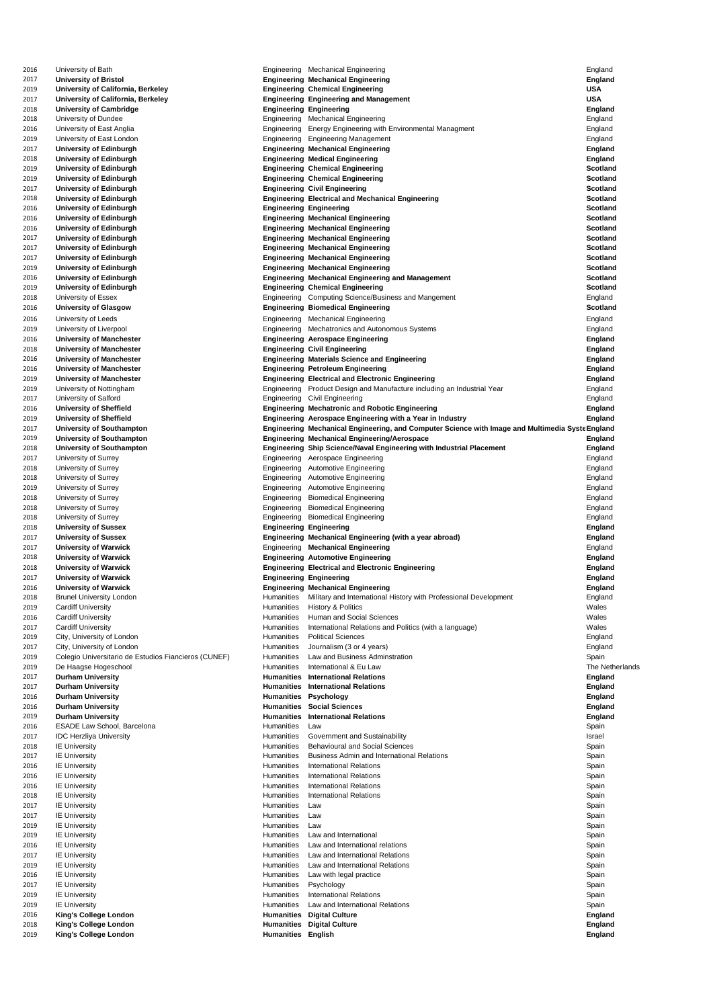| 2016         | University of Bath                                           |                                        | Engineering Mechanical Engineering                                                               | England                          |
|--------------|--------------------------------------------------------------|----------------------------------------|--------------------------------------------------------------------------------------------------|----------------------------------|
| 2017         | <b>University of Bristol</b>                                 |                                        | <b>Engineering Mechanical Engineering</b>                                                        | <b>England</b>                   |
| 2019         | <b>University of California, Berkeley</b>                    |                                        | <b>Engineering Chemical Engineering</b>                                                          | <b>USA</b>                       |
| 2017         | University of California, Berkeley                           |                                        | <b>Engineering Engineering and Management</b>                                                    | <b>USA</b>                       |
|              |                                                              |                                        |                                                                                                  |                                  |
| 2018         | <b>University of Cambridge</b>                               |                                        | <b>Engineering Engineering</b>                                                                   | <b>England</b>                   |
| 2018         | University of Dundee                                         | Engineering                            | <b>Mechanical Engineering</b>                                                                    | England                          |
| 2016         | University of East Anglia                                    | Engineering                            | <b>Energy Engineering with Environmental Managment</b>                                           | England                          |
| 2019         | University of East London                                    | Engineering                            | <b>Engineering Management</b>                                                                    | England                          |
| 2017         | <b>University of Edinburgh</b>                               |                                        | <b>Engineering Mechanical Engineering</b>                                                        | <b>England</b>                   |
| 2018         | <b>University of Edinburgh</b>                               |                                        | <b>Engineering Medical Engineering</b>                                                           | <b>England</b>                   |
|              |                                                              |                                        |                                                                                                  |                                  |
| 2019         | <b>University of Edinburgh</b>                               |                                        | <b>Engineering Chemical Engineering</b>                                                          | <b>Scotland</b>                  |
| 2019         | <b>University of Edinburgh</b>                               |                                        | <b>Engineering Chemical Engineering</b>                                                          | <b>Scotland</b>                  |
| 2017         | <b>University of Edinburgh</b>                               |                                        | <b>Engineering Civil Engineering</b>                                                             | <b>Scotland</b>                  |
| 2018         | <b>University of Edinburgh</b>                               |                                        | <b>Engineering Electrical and Mechanical Engineering</b>                                         | <b>Scotland</b>                  |
| 2016         | <b>University of Edinburgh</b>                               |                                        | <b>Engineering Engineering</b>                                                                   | <b>Scotland</b>                  |
|              |                                                              |                                        |                                                                                                  |                                  |
| 2016         | <b>University of Edinburgh</b>                               |                                        | <b>Engineering Mechanical Engineering</b>                                                        | <b>Scotland</b>                  |
| 2016         | <b>University of Edinburgh</b>                               |                                        | <b>Engineering Mechanical Engineering</b>                                                        | <b>Scotland</b>                  |
| 2017         | <b>University of Edinburgh</b>                               |                                        | <b>Engineering Mechanical Engineering</b>                                                        | <b>Scotland</b>                  |
| 2017         | <b>University of Edinburgh</b>                               |                                        | <b>Engineering Mechanical Engineering</b>                                                        | <b>Scotland</b>                  |
| 2017         | <b>University of Edinburgh</b>                               |                                        | <b>Engineering Mechanical Engineering</b>                                                        | <b>Scotland</b>                  |
|              |                                                              |                                        |                                                                                                  |                                  |
| 2019         | <b>University of Edinburgh</b>                               |                                        | <b>Engineering Mechanical Engineering</b>                                                        | <b>Scotland</b>                  |
| 2016         | <b>University of Edinburgh</b>                               |                                        | <b>Engineering Mechanical Engineering and Management</b>                                         | <b>Scotland</b>                  |
| 2019         | <b>University of Edinburgh</b>                               |                                        | <b>Engineering Chemical Engineering</b>                                                          | <b>Scotland</b>                  |
| 2018         | University of Essex                                          |                                        | Engineering Computing Science/Business and Mangement                                             | England                          |
| 2016         | <b>University of Glasgow</b>                                 |                                        | <b>Engineering Biomedical Engineering</b>                                                        | <b>Scotland</b>                  |
|              |                                                              |                                        |                                                                                                  |                                  |
| 2016         | University of Leeds                                          |                                        | Engineering Mechanical Engineering                                                               | England                          |
| 2019         | University of Liverpool                                      |                                        | Engineering Mechatronics and Autonomous Systems                                                  | England                          |
| 2016         | <b>University of Manchester</b>                              |                                        | <b>Engineering Aerospace Engineering</b>                                                         | <b>England</b>                   |
| 2018         | <b>University of Manchester</b>                              |                                        | <b>Engineering Civil Engineering</b>                                                             | <b>England</b>                   |
|              |                                                              |                                        |                                                                                                  |                                  |
| 2016         | <b>University of Manchester</b>                              |                                        | <b>Engineering Materials Science and Engineering</b>                                             | <b>England</b>                   |
| 2016         | <b>University of Manchester</b>                              |                                        | <b>Engineering Petroleum Engineering</b>                                                         | <b>England</b>                   |
| 2019         | <b>University of Manchester</b>                              |                                        | <b>Engineering Electrical and Electronic Engineering</b>                                         | <b>England</b>                   |
| 2019         | University of Nottingham                                     |                                        | Engineering Product Design and Manufacture including an Industrial Year                          | England                          |
| 2017         | University of Salford                                        |                                        | Engineering Civil Engineering                                                                    | England                          |
|              |                                                              |                                        |                                                                                                  |                                  |
| 2016         | <b>University of Sheffield</b>                               |                                        | <b>Engineering Mechatronic and Robotic Engineering</b>                                           | <b>England</b>                   |
| 2019         | <b>University of Sheffield</b>                               |                                        | Engineering Aerospace Engineering with a Year in Industry                                        | <b>England</b>                   |
| 2017         | <b>University of Southampton</b>                             |                                        | Engineering Mechanical Engineering, and Computer Science with Image and Multimedia Syste England |                                  |
| 2019         | <b>University of Southampton</b>                             |                                        | <b>Engineering Mechanical Engineering/Aerospace</b>                                              | <b>England</b>                   |
| 2018         | <b>University of Southampton</b>                             |                                        | <b>Engineering Ship Science/Naval Engineering with Industrial Placement</b>                      | <b>England</b>                   |
|              |                                                              |                                        |                                                                                                  |                                  |
| 2017         | University of Surrey                                         | Engineering                            | Aerospace Engineering                                                                            | England                          |
| 2018         | University of Surrey                                         | Engineering                            | <b>Automotive Engineering</b>                                                                    | England                          |
| 2018         | <b>University of Surrey</b>                                  | Engineering                            | <b>Automotive Engineering</b>                                                                    | England                          |
| 2019         | <b>University of Surrey</b>                                  | Engineering                            | <b>Automotive Engineering</b>                                                                    | England                          |
| 2018         | University of Surrey                                         | Engineering                            | <b>Biomedical Engineering</b>                                                                    | England                          |
|              |                                                              |                                        |                                                                                                  |                                  |
| 2018         | University of Surrey                                         |                                        | Engineering Biomedical Engineering                                                               | England                          |
| 2018         | University of Surrey                                         |                                        | Engineering Biomedical Engineering                                                               | England                          |
| 2018         | <b>University of Sussex</b>                                  |                                        | <b>Engineering Engineering</b>                                                                   | <b>England</b>                   |
| 2017         | <b>University of Sussex</b>                                  |                                        | Engineering Mechanical Engineering (with a year abroad)                                          | <b>England</b>                   |
| 2017         | <b>University of Warwick</b>                                 |                                        | <b>Engineering Mechanical Engineering</b>                                                        | England                          |
|              |                                                              |                                        |                                                                                                  |                                  |
| 2018         | <b>University of Warwick</b>                                 |                                        | <b>Engineering Automotive Engineering</b>                                                        | <b>England</b>                   |
| 2018         | <b>University of Warwick</b>                                 |                                        | <b>Engineering Electrical and Electronic Engineering</b>                                         | <b>England</b>                   |
| 2017         | <b>University of Warwick</b>                                 |                                        | <b>Engineering Engineering</b>                                                                   | <b>England</b>                   |
| 2016         | <b>University of Warwick</b>                                 |                                        | <b>Engineering Mechanical Engineering</b>                                                        | <b>England</b>                   |
| 2018         | <b>Brunel University London</b>                              | <b>Humanities</b>                      | Military and International History with Professional Development                                 | England                          |
|              |                                                              |                                        |                                                                                                  |                                  |
| 2019         | <b>Cardiff University</b>                                    | Humanities                             | <b>History &amp; Politics</b>                                                                    | Wales                            |
| 2016         | <b>Cardiff University</b>                                    | <b>Humanities</b>                      | Human and Social Sciences                                                                        | Wales                            |
| 2017         | <b>Cardiff University</b>                                    | <b>Humanities</b>                      | International Relations and Politics (with a language)                                           |                                  |
| 2019         |                                                              |                                        |                                                                                                  | Wales                            |
|              | City, University of London                                   | <b>Humanities</b>                      | <b>Political Sciences</b>                                                                        |                                  |
|              |                                                              |                                        |                                                                                                  | England                          |
| 2017         | City, University of London                                   | <b>Humanities</b>                      | Journalism (3 or 4 years)                                                                        | England                          |
| 2019         | Colegio Universitario de Estudios Fiancieros (CUNEF)         | Humanities                             | Law and Business Adminstration                                                                   | Spain                            |
| 2019         | De Haagse Hogeschool                                         | <b>Humanities</b>                      | International & Eu Law                                                                           | The Netherlands                  |
| 2017         | <b>Durham University</b>                                     | <b>Humanities</b>                      | <b>International Relations</b>                                                                   | <b>England</b>                   |
| 2017         | <b>Durham University</b>                                     | <b>Humanities</b>                      | <b>International Relations</b>                                                                   | <b>England</b>                   |
|              |                                                              |                                        |                                                                                                  |                                  |
| 2016         | <b>Durham University</b>                                     |                                        | <b>Humanities Psychology</b>                                                                     | <b>England</b>                   |
| 2016         | <b>Durham University</b>                                     | <b>Humanities</b>                      | <b>Social Sciences</b>                                                                           | <b>England</b>                   |
| 2019         | <b>Durham University</b>                                     | <b>Humanities</b>                      | <b>International Relations</b>                                                                   | <b>England</b>                   |
| 2016         | <b>ESADE Law School, Barcelona</b>                           | Humanities                             | Law                                                                                              | Spain                            |
| 2017         | <b>IDC Herzliya University</b>                               | Humanities                             | <b>Government and Sustainability</b>                                                             | Israel                           |
| 2018         | <b>IE University</b>                                         | <b>Humanities</b>                      | <b>Behavioural and Social Sciences</b>                                                           |                                  |
|              |                                                              |                                        |                                                                                                  | Spain                            |
| 2017         | <b>IE University</b>                                         | <b>Humanities</b>                      | <b>Business Admin and International Relations</b>                                                | Spain                            |
| 2016         | <b>IE University</b>                                         | <b>Humanities</b>                      | <b>International Relations</b>                                                                   | Spain                            |
| 2016         | <b>IE University</b>                                         | <b>Humanities</b>                      | <b>International Relations</b>                                                                   | Spain                            |
| 2016         | <b>IE University</b>                                         | <b>Humanities</b>                      | <b>International Relations</b>                                                                   | Spain                            |
| 2018         | <b>IE University</b>                                         | <b>Humanities</b>                      | <b>International Relations</b>                                                                   | Spain                            |
|              |                                                              |                                        |                                                                                                  |                                  |
| 2017         | <b>IE University</b>                                         | <b>Humanities</b>                      | Law                                                                                              | Spain                            |
| 2017         | <b>IE University</b>                                         | <b>Humanities</b>                      | Law                                                                                              | Spain                            |
| 2019         | <b>IE University</b>                                         | <b>Humanities</b>                      | Law                                                                                              | Spain                            |
| 2019         | <b>IE University</b>                                         | Humanities                             | Law and International                                                                            | Spain                            |
| 2016         | <b>IE University</b>                                         | <b>Humanities</b>                      | Law and International relations                                                                  | Spain                            |
|              |                                                              |                                        |                                                                                                  |                                  |
| 2017         | <b>IE University</b>                                         | <b>Humanities</b>                      | Law and International Relations                                                                  | Spain                            |
| 2019         | <b>IE University</b>                                         | <b>Humanities</b>                      | Law and International Relations                                                                  | Spain                            |
| 2016         | <b>IE University</b>                                         | Humanities                             | Law with legal practice                                                                          | Spain                            |
| 2017         | <b>IE University</b>                                         | Humanities                             | Psychology                                                                                       | Spain                            |
| 2019         | <b>IE University</b>                                         | <b>Humanities</b>                      | <b>International Relations</b>                                                                   | Spain                            |
|              |                                                              |                                        |                                                                                                  |                                  |
| 2019         | <b>IE University</b>                                         | <b>Humanities</b>                      | Law and International Relations                                                                  | Spain                            |
| 2016         | <b>King's College London</b>                                 | <b>Humanities</b>                      | <b>Digital Culture</b>                                                                           | <b>England</b>                   |
| 2018<br>2019 | <b>King's College London</b><br><b>King's College London</b> | <b>Humanities</b><br><b>Humanities</b> | <b>Digital Culture</b><br><b>English</b>                                                         | <b>England</b><br><b>England</b> |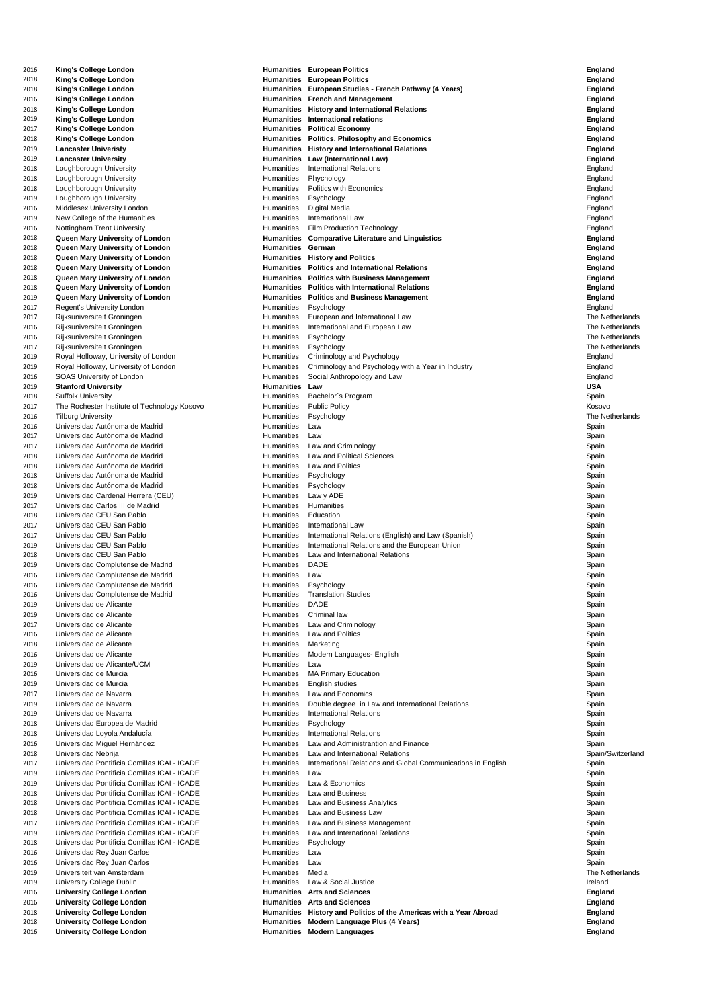| 2016         | <b>King's College London</b>                                         | <b>Humanities</b>                      | <b>European Politics</b>                                         | <b>England</b>                     |
|--------------|----------------------------------------------------------------------|----------------------------------------|------------------------------------------------------------------|------------------------------------|
| 2018         | <b>King's College London</b>                                         | <b>Humanities</b>                      | <b>European Politics</b>                                         | <b>England</b>                     |
| 2018         | <b>King's College London</b>                                         | <b>Humanities</b>                      | European Studies - French Pathway (4 Years)                      | <b>England</b>                     |
| 2016         | <b>King's College London</b>                                         | <b>Humanities</b>                      | <b>French and Management</b>                                     | <b>England</b>                     |
| 2018         | <b>King's College London</b>                                         | <b>Humanities</b>                      | <b>History and International Relations</b>                       | <b>England</b>                     |
| 2019         | <b>King's College London</b>                                         | <b>Humanities</b>                      | International relations                                          | <b>England</b>                     |
| 2017         | <b>King's College London</b>                                         | <b>Humanities</b>                      | <b>Political Economy</b>                                         | <b>England</b>                     |
| 2018         | <b>King's College London</b>                                         | <b>Humanities</b>                      | <b>Politics, Philosophy and Economics</b>                        | <b>England</b>                     |
| 2019         | <b>Lancaster Univeristy</b>                                          | <b>Humanities</b>                      | <b>History and International Relations</b>                       | <b>England</b>                     |
| 2019         | <b>Lancaster University</b>                                          | <b>Humanities</b>                      | <b>Law (International Law)</b>                                   | <b>England</b>                     |
| 2018         | Loughborough University                                              | <b>Humanities</b>                      | <b>International Relations</b>                                   | England                            |
| 2018         | Loughborough University                                              | <b>Humanities</b>                      | Phychology                                                       | England                            |
| 2018         | Loughborough University                                              | <b>Humanities</b>                      | Politics with Economics                                          | England                            |
| 2019         | Loughborough University                                              | <b>Humanities</b>                      | Psychology                                                       | England                            |
| 2016         | Middlesex University London                                          | <b>Humanities</b>                      | Digital Media                                                    | England                            |
| 2019         | New College of the Humanities                                        | <b>Humanities</b>                      | <b>International Law</b>                                         | England                            |
| 2016         | <b>Nottingham Trent University</b>                                   | Humanities                             | <b>Film Production Technology</b>                                | England                            |
| 2018         | Queen Mary University of London                                      | <b>Humanities</b>                      | <b>Comparative Literature and Linguistics</b>                    | <b>England</b>                     |
| 2018         | Queen Mary University of London                                      | <b>Humanities</b>                      | German                                                           | <b>England</b>                     |
| 2018         | Queen Mary University of London                                      | <b>Humanities</b>                      | <b>History and Politics</b>                                      | <b>England</b>                     |
| 2018         | Queen Mary University of London                                      | <b>Humanities</b>                      | <b>Politics and International Relations</b>                      | <b>England</b>                     |
| 2018         | Queen Mary University of London                                      | <b>Humanities</b>                      | <b>Politics with Business Management</b>                         | <b>England</b>                     |
| 2018         | Queen Mary University of London                                      | <b>Humanities</b>                      | <b>Politics with International Relations</b>                     | <b>England</b>                     |
| 2019         | Queen Mary University of London                                      | <b>Humanities</b>                      | <b>Politics and Business Management</b>                          | <b>England</b>                     |
| 2017         | <b>Regent's University London</b>                                    | Humanities                             | Psychology                                                       | England                            |
| 2017         | Rijksuniversiteit Groningen                                          | <b>Humanities</b><br><b>Humanities</b> | European and International Law<br>International and European Law | The Netherlands<br>The Netherlands |
| 2016         | Rijksuniversiteit Groningen                                          | <b>Humanities</b>                      |                                                                  | The Netherlands                    |
| 2016         | Rijksuniversiteit Groningen<br>Rijksuniversiteit Groningen           | Humanities                             | Psychology                                                       | The Netherlands                    |
| 2017<br>2019 | Royal Holloway, University of London                                 | <b>Humanities</b>                      | Psychology<br>Criminology and Psychology                         |                                    |
| 2019         | Royal Holloway, University of London                                 | Humanities                             | Criminology and Psychology with a Year in Industry               | England<br>England                 |
|              | <b>SOAS University of London</b>                                     | <b>Humanities</b>                      | Social Anthropology and Law                                      | England                            |
| 2016<br>2019 | <b>Stanford University</b>                                           | <b>Humanities</b>                      | Law                                                              | <b>USA</b>                         |
| 2018         | <b>Suffolk University</b>                                            | <b>Humanities</b>                      | Bachelor's Program                                               | Spain                              |
| 2017         | The Rochester Institute of Technology Kosovo                         | <b>Humanities</b>                      | <b>Public Policy</b>                                             | Kosovo                             |
| 2016         | <b>Tilburg University</b>                                            | <b>Humanities</b>                      | Psychology                                                       | The Netherlands                    |
| 2016         | Universidad Autónoma de Madrid                                       | <b>Humanities</b>                      | Law                                                              | Spain                              |
| 2017         | Universidad Autónoma de Madrid                                       | Humanities                             | Law                                                              | Spain                              |
| 2017         | Universidad Autónoma de Madrid                                       | Humanities                             | Law and Criminology                                              | Spain                              |
| 2018         | Universidad Autónoma de Madrid                                       | <b>Humanities</b>                      | <b>Law and Political Sciences</b>                                | Spain                              |
| 2018         | Universidad Autónoma de Madrid                                       | <b>Humanities</b>                      | Law and Politics                                                 | Spain                              |
| 2018         | Universidad Autónoma de Madrid                                       | <b>Humanities</b>                      | Psychology                                                       | Spain                              |
| 2018         | Universidad Autónoma de Madrid                                       | <b>Humanities</b>                      | Psychology                                                       | Spain                              |
| 2019         | Universidad Cardenal Herrera (CEU)                                   | <b>Humanities</b>                      | Law y ADE                                                        | Spain                              |
| 2017         | Universidad Carlos III de Madrid                                     | <b>Humanities</b>                      | Humanities                                                       | Spain                              |
| 2018         | Universidad CEU San Pablo                                            | <b>Humanities</b>                      | Education                                                        | Spain                              |
| 2017         | Universidad CEU San Pablo                                            | <b>Humanities</b>                      | <b>International Law</b>                                         | Spain                              |
| 2017         | Universidad CEU San Pablo                                            | <b>Humanities</b>                      | International Relations (English) and Law (Spanish)              | Spain                              |
| 2019         | Universidad CEU San Pablo                                            | <b>Humanities</b>                      | International Relations and the European Union                   | Spain                              |
| 2018         | Universidad CEU San Pablo                                            | <b>Humanities</b>                      | Law and International Relations                                  | Spain                              |
| 2019         | Universidad Complutense de Madrid                                    | <b>Humanities</b>                      | <b>DADE</b>                                                      | Spain                              |
| 2016         | Universidad Complutense de Madrid                                    | <b>Humanities</b>                      | Law                                                              | Spain                              |
| 2016         | Universidad Complutense de Madrid                                    | Humanities                             | Psychology                                                       | Spain                              |
| 2016         | Universidad Complutense de Madrid                                    | <b>Humanities</b>                      | <b>Translation Studies</b>                                       | Spain                              |
| 2019         | Universidad de Alicante                                              | <b>Humanities</b>                      | <b>DADE</b>                                                      | Spain                              |
| 2019         | Universidad de Alicante                                              | <b>Humanities</b>                      | Criminal law                                                     | Spain                              |
| 2017         | Universidad de Alicante                                              | <b>Humanities</b>                      | Law and Criminology                                              | Spain                              |
| 2016         | Universidad de Alicante                                              | <b>Humanities</b>                      | Law and Politics                                                 | Spain                              |
| 2018         | Universidad de Alicante                                              | <b>Humanities</b>                      | Marketing                                                        | Spain                              |
| 2016         | Universidad de Alicante                                              |                                        | Humanities Modern Languages- English                             | Spain                              |
| 2019         | Universidad de Alicante/UCM                                          | <b>Humanities</b>                      | Law                                                              | Spain                              |
| 2016         | Universidad de Murcia                                                | <b>Humanities</b>                      | <b>MA Primary Education</b>                                      | Spain                              |
| 2019         | Universidad de Murcia                                                | <b>Humanities</b>                      | English studies                                                  | Spain                              |
| 2017         | Universidad de Navarra                                               | <b>Humanities</b>                      | Law and Economics                                                | Spain                              |
| 2019         | Universidad de Navarra                                               | <b>Humanities</b>                      | Double degree in Law and International Relations                 | Spain                              |
| 2019         | Universidad de Navarra                                               | Humanities                             | <b>International Relations</b>                                   | Spain                              |
| 2018         | Universidad Europea de Madrid                                        | <b>Humanities</b>                      | Psychology                                                       | Spain                              |
| 2018         | Universidad Loyola Andalucía                                         | <b>Humanities</b>                      | <b>International Relations</b>                                   | Spain                              |
| 2016         | Universidad Miguel Hernández                                         | <b>Humanities</b>                      | Law and Administrantion and Finance                              | Spain                              |
| 2018         | Universidad Nebrija                                                  | <b>Humanities</b>                      | Law and International Relations                                  | Spain/Switzerland                  |
| 2017         | Universidad Pontificia Comillas ICAI - ICADE                         | <b>Humanities</b>                      | International Relations and Global Communications in English     | Spain                              |
| 2019         | Universidad Pontificia Comillas ICAI - ICADE                         | <b>Humanities</b>                      | Law                                                              | Spain                              |
| 2019         | Universidad Pontificia Comillas ICAI - ICADE                         | <b>Humanities</b>                      | Law & Economics                                                  | Spain                              |
| 2018         | Universidad Pontificia Comillas ICAI - ICADE                         | <b>Humanities</b>                      | <b>Law and Business</b>                                          | Spain                              |
| 2018         | Universidad Pontificia Comillas ICAI - ICADE                         | <b>Humanities</b>                      | Law and Business Analytics                                       | Spain                              |
| 2018         | Universidad Pontificia Comillas ICAI - ICADE                         | <b>Humanities</b>                      | Law and Business Law                                             | Spain                              |
| 2017         | Universidad Pontificia Comillas ICAI - ICADE                         | <b>Humanities</b>                      | Law and Business Management                                      | Spain                              |
| 2019         | Universidad Pontificia Comillas ICAI - ICADE                         | Humanities                             | Law and International Relations                                  | Spain                              |
| 2018         | Universidad Pontificia Comillas ICAI - ICADE                         | Humanities                             | Psychology                                                       | Spain                              |
| 2016         | Universidad Rey Juan Carlos                                          | <b>Humanities</b>                      | Law                                                              | Spain                              |
| 2016         | Universidad Rey Juan Carlos                                          | <b>Humanities</b>                      | Law                                                              | Spain                              |
| 2019         | Universiteit van Amsterdam                                           | <b>Humanities</b>                      | Media                                                            | The Netherlands                    |
| 2019         | <b>University College Dublin</b>                                     | <b>Humanities</b>                      | Law & Social Justice                                             | Ireland                            |
| 2016         | <b>University College London</b><br><b>University College London</b> | <b>Humanities</b><br><b>Humanities</b> | <b>Arts and Sciences</b><br><b>Arts and Sciences</b>             | <b>England</b>                     |
| 2016<br>2018 | <b>University College London</b>                                     | <b>Humanities</b>                      | History and Politics of the Americas with a Year Abroad          | <b>England</b><br><b>England</b>   |
| 2018         | <b>University College London</b>                                     | <b>Humanities</b>                      | <b>Modern Language Plus (4 Years)</b>                            | <b>England</b>                     |
| 2016         | <b>University College London</b>                                     | <b>Humanities</b>                      | <b>Modern Languages</b>                                          | <b>England</b>                     |
|              |                                                                      |                                        |                                                                  |                                    |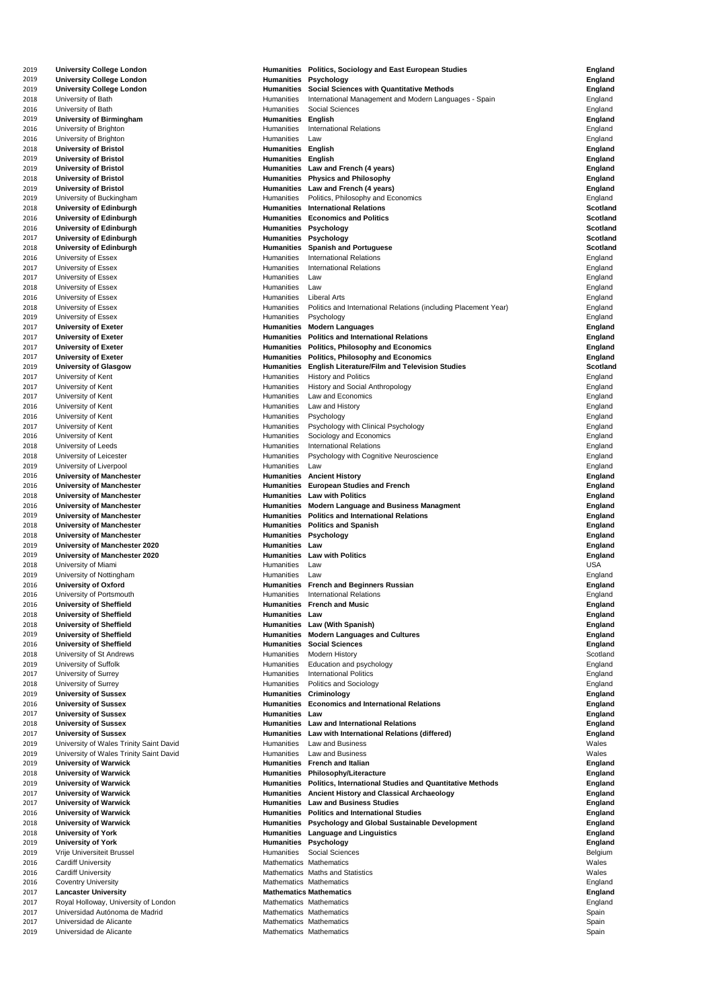| 2019         | <b>University College London</b>                                        | <b>Humanities</b>                                  | <b>Politics, Sociology and East European Studies</b>                                             | <b>England</b>                   |
|--------------|-------------------------------------------------------------------------|----------------------------------------------------|--------------------------------------------------------------------------------------------------|----------------------------------|
| 2019         | <b>University College London</b>                                        | <b>Humanities</b>                                  | <b>Psychology</b>                                                                                | <b>England</b>                   |
| 2019         | <b>University College London</b>                                        | <b>Humanities</b>                                  | <b>Social Sciences with Quantitative Methods</b>                                                 | <b>England</b>                   |
| 2018         | University of Bath                                                      | Humanities                                         | International Management and Modern Languages - Spain                                            | England                          |
| 2016         | University of Bath                                                      | <b>Humanities</b>                                  | <b>Social Sciences</b>                                                                           | England                          |
| 2019<br>2016 | <b>University of Birmingham</b><br>University of Brighton               | <b>Humanities</b><br><b>Humanities</b>             | <b>English</b><br><b>International Relations</b>                                                 | <b>England</b><br>England        |
| 2016         | University of Brighton                                                  | Humanities                                         | Law                                                                                              | England                          |
| 2018         | <b>University of Bristol</b>                                            | <b>Humanities</b>                                  | <b>English</b>                                                                                   | <b>England</b>                   |
| 2019         | <b>University of Bristol</b>                                            | <b>Humanities</b>                                  | <b>English</b>                                                                                   | <b>England</b>                   |
| 2019         | <b>University of Bristol</b>                                            | <b>Humanities</b>                                  | Law and French (4 years)                                                                         | <b>England</b>                   |
| 2018         | <b>University of Bristol</b>                                            | <b>Humanities</b>                                  | <b>Physics and Philosophy</b>                                                                    | <b>England</b>                   |
| 2019         | <b>University of Bristol</b>                                            | <b>Humanities</b>                                  | Law and French (4 years)                                                                         | <b>England</b>                   |
| 2019         | University of Buckingham                                                | Humanities                                         | Politics, Philosophy and Economics                                                               | England                          |
| 2018         | <b>University of Edinburgh</b>                                          | <b>Humanities</b>                                  | <b>International Relations</b>                                                                   | <b>Scotland</b>                  |
| 2016         | <b>University of Edinburgh</b>                                          | <b>Humanities</b>                                  | <b>Economics and Politics</b>                                                                    | <b>Scotland</b>                  |
| 2016         | <b>University of Edinburgh</b>                                          | <b>Humanities</b>                                  | <b>Psychology</b>                                                                                | <b>Scotland</b>                  |
| 2017         | <b>University of Edinburgh</b>                                          | <b>Humanities</b>                                  | <b>Psychology</b>                                                                                | <b>Scotland</b>                  |
| 2018         | <b>University of Edinburgh</b>                                          | <b>Humanities</b>                                  | <b>Spanish and Portuguese</b>                                                                    | <b>Scotland</b>                  |
| 2016         | University of Essex                                                     | Humanities<br>Humanities                           | <b>International Relations</b><br><b>International Relations</b>                                 | England                          |
| 2017<br>2017 | University of Essex<br>University of Essex                              | Humanities                                         | Law                                                                                              | England<br>England               |
| 2018         | University of Essex                                                     | Humanities                                         | Law                                                                                              | England                          |
| 2016         | University of Essex                                                     | Humanities                                         | <b>Liberal Arts</b>                                                                              | England                          |
| 2018         | University of Essex                                                     | Humanities                                         | Politics and International Relations (including Placement Year)                                  | England                          |
| 2019         | University of Essex                                                     | Humanities                                         | Psychology                                                                                       | England                          |
| 2017         | <b>University of Exeter</b>                                             | <b>Humanities</b>                                  | <b>Modern Languages</b>                                                                          | <b>England</b>                   |
| 2017         | <b>University of Exeter</b>                                             | <b>Humanities</b>                                  | <b>Politics and International Relations</b>                                                      | <b>England</b>                   |
| 2017         | <b>University of Exeter</b>                                             | <b>Humanities</b>                                  | <b>Politics, Philosophy and Economics</b>                                                        | <b>England</b>                   |
| 2017         | <b>University of Exeter</b>                                             |                                                    | Humanities Politics, Philosophy and Economics                                                    | <b>England</b>                   |
| 2019         | <b>University of Glasgow</b>                                            | <b>Humanities</b>                                  | <b>English Literature/Film and Television Studies</b>                                            | <b>Scotland</b>                  |
| 2017         | University of Kent                                                      | <b>Humanities</b>                                  | <b>History and Politics</b>                                                                      | England                          |
| 2017         | University of Kent                                                      | <b>Humanities</b>                                  | <b>History and Social Anthropology</b>                                                           | England                          |
| 2017         | University of Kent                                                      | <b>Humanities</b><br>Humanities                    | Law and Economics<br>Law and History                                                             | England                          |
| 2016<br>2016 | University of Kent<br>University of Kent                                | <b>Humanities</b>                                  | Psychology                                                                                       | England<br>England               |
| 2017         | University of Kent                                                      | <b>Humanities</b>                                  | Psychology with Clinical Psychology                                                              | England                          |
| 2016         | University of Kent                                                      | Humanities                                         | Sociology and Economics                                                                          | England                          |
| 2018         | University of Leeds                                                     | Humanities                                         | <b>International Relations</b>                                                                   | England                          |
| 2018         | University of Leicester                                                 | <b>Humanities</b>                                  | Psychology with Cognitive Neuroscience                                                           | England                          |
| 2019         | University of Liverpool                                                 | <b>Humanities</b>                                  | Law                                                                                              | England                          |
| 2016         | <b>University of Manchester</b>                                         | <b>Humanities</b>                                  | <b>Ancient History</b>                                                                           | <b>England</b>                   |
| 2016         | <b>University of Manchester</b>                                         | <b>Humanities</b>                                  | <b>European Studies and French</b>                                                               | <b>England</b>                   |
| 2018         | <b>University of Manchester</b>                                         | <b>Humanities</b>                                  | <b>Law with Politics</b>                                                                         | <b>England</b>                   |
| 2016         | <b>University of Manchester</b>                                         | <b>Humanities</b>                                  | <b>Modern Language and Business Managment</b>                                                    | <b>England</b>                   |
| 2019         | <b>University of Manchester</b>                                         | <b>Humanities</b>                                  | <b>Politics and International Relations</b>                                                      | <b>England</b>                   |
| 2018         | <b>University of Manchester</b>                                         | <b>Humanities</b>                                  | <b>Politics and Spanish</b>                                                                      | <b>England</b>                   |
| 2018<br>2019 | <b>University of Manchester</b><br><b>University of Manchester 2020</b> | <b>Humanities</b><br><b>Humanities</b>             | <b>Psychology</b><br>Law                                                                         | <b>England</b><br><b>England</b> |
| 2019         | <b>University of Manchester 2020</b>                                    | <b>Humanities</b>                                  | <b>Law with Politics</b>                                                                         | <b>England</b>                   |
| 2018         | University of Miami                                                     | <b>Humanities</b>                                  | Law                                                                                              | <b>USA</b>                       |
| 2019         | University of Nottingham                                                | <b>Humanities</b>                                  | Law                                                                                              | England                          |
| 2016         | <b>University of Oxford</b>                                             |                                                    | Humanities French and Beginners Russian                                                          | <b>England</b>                   |
| 2016         | University of Portsmouth                                                | <b>Humanities</b>                                  | <b>International Relations</b>                                                                   | England                          |
| 2016         | <b>University of Sheffield</b>                                          | <b>Humanities</b>                                  | <b>French and Music</b>                                                                          | <b>England</b>                   |
| 2018         | <b>University of Sheffield</b>                                          | <b>Humanities</b>                                  | Law                                                                                              | <b>England</b>                   |
| 2018         | <b>University of Sheffield</b>                                          | <b>Humanities</b>                                  | <b>Law (With Spanish)</b>                                                                        | <b>England</b>                   |
| 2019         | <b>University of Sheffield</b>                                          | <b>Humanities</b>                                  | <b>Modern Languages and Cultures</b>                                                             | <b>England</b>                   |
| 2016         | <b>University of Sheffield</b>                                          | <b>Humanities</b>                                  | <b>Social Sciences</b>                                                                           | <b>England</b>                   |
| 2018<br>2019 | University of St Andrews<br>University of Suffolk                       | <b>Humanities</b><br><b>Humanities</b>             | <b>Modern History</b><br>Education and psychology                                                | Scotland<br>England              |
| 2017         | University of Surrey                                                    | <b>Humanities</b>                                  | <b>International Politics</b>                                                                    | England                          |
| 2018         | University of Surrey                                                    | Humanities                                         | <b>Politics and Sociology</b>                                                                    | England                          |
| 2019         | <b>University of Sussex</b>                                             | <b>Humanities</b>                                  | Criminology                                                                                      | <b>England</b>                   |
| 2016         | <b>University of Sussex</b>                                             | <b>Humanities</b>                                  | <b>Economics and International Relations</b>                                                     | <b>England</b>                   |
| 2017         | <b>University of Sussex</b>                                             | <b>Humanities</b>                                  | Law                                                                                              | <b>England</b>                   |
| 2018         | <b>University of Sussex</b>                                             | <b>Humanities</b>                                  | <b>Law and International Relations</b>                                                           | <b>England</b>                   |
| 2017         | <b>University of Sussex</b>                                             | <b>Humanities</b>                                  | Law with International Relations (differed)                                                      | <b>England</b>                   |
| 2019         | University of Wales Trinity Saint David                                 | <b>Humanities</b>                                  | Law and Business                                                                                 | Wales                            |
| 2019         | University of Wales Trinity Saint David                                 | <b>Humanities</b>                                  | Law and Business                                                                                 | Wales                            |
| 2019         | <b>University of Warwick</b>                                            | <b>Humanities</b>                                  | <b>French and Italian</b>                                                                        | <b>England</b>                   |
| 2018<br>2019 | <b>University of Warwick</b><br><b>University of Warwick</b>            | <b>Humanities</b><br><b>Humanities</b>             | <b>Philosophy/Literacture</b><br><b>Politics, International Studies and Quantitative Methods</b> | <b>England</b>                   |
| 2017         | <b>University of Warwick</b>                                            | <b>Humanities</b>                                  | <b>Ancient History and Classical Archaeology</b>                                                 | <b>England</b><br><b>England</b> |
| 2017         | <b>University of Warwick</b>                                            | <b>Humanities</b>                                  | <b>Law and Business Studies</b>                                                                  | <b>England</b>                   |
| 2016         | <b>University of Warwick</b>                                            |                                                    | <b>Humanities</b> Politics and International Studies                                             | <b>England</b>                   |
| 2018         | <b>University of Warwick</b>                                            |                                                    | Humanities Psychology and Global Sustainable Development                                         | <b>England</b>                   |
| 2018         | <b>University of York</b>                                               | <b>Humanities</b>                                  | <b>Language and Linguistics</b>                                                                  | <b>England</b>                   |
| 2019         | <b>University of York</b>                                               | <b>Humanities</b>                                  | <b>Psychology</b>                                                                                | <b>England</b>                   |
| 2019         | Vrije Universiteit Brussel                                              | <b>Humanities</b>                                  | <b>Social Sciences</b>                                                                           | Belgium                          |
| 2016         | <b>Cardiff University</b>                                               | Mathematics Mathematics                            |                                                                                                  | Wales                            |
| 2016         | <b>Cardiff University</b>                                               |                                                    | <b>Mathematics Maths and Statistics</b>                                                          | Wales                            |
| 2016         | <b>Coventry University</b>                                              |                                                    | Mathematics Mathematics                                                                          | England                          |
| 2017         | <b>Lancaster University</b>                                             |                                                    | <b>Mathematics Mathematics</b>                                                                   | <b>England</b>                   |
| 2017         | Royal Holloway, University of London<br>Universidad Autónoma de Madrid  | Mathematics Mathematics<br>Mathematics Mathematics |                                                                                                  | England                          |
| 2017<br>2017 |                                                                         |                                                    |                                                                                                  | Spain                            |
|              |                                                                         |                                                    |                                                                                                  |                                  |
| 2019         | Universidad de Alicante<br>Universidad de Alicante                      | Mathematics Mathematics<br>Mathematics Mathematics |                                                                                                  | Spain<br>Spain                   |

| 2019         | <b>University College London</b>                          |                                                    | Humanities Politics, Sociology and East European Studies            | <b>England</b>  |
|--------------|-----------------------------------------------------------|----------------------------------------------------|---------------------------------------------------------------------|-----------------|
| 2019         | <b>University College London</b>                          | <b>Humanities</b>                                  | <b>Psychology</b>                                                   | <b>England</b>  |
| 2019         | <b>University College London</b>                          | <b>Humanities</b>                                  | <b>Social Sciences with Quantitative Methods</b>                    | <b>England</b>  |
| 2018         | University of Bath                                        | Humanities                                         | International Management and Modern Languages - Spain               | England         |
| 2016         | University of Bath                                        | Humanities                                         | <b>Social Sciences</b>                                              | England         |
| 2019         | <b>University of Birmingham</b>                           | <b>Humanities</b>                                  | <b>English</b>                                                      | <b>England</b>  |
| 2016         | University of Brighton                                    | <b>Humanities</b>                                  | <b>International Relations</b>                                      | England         |
| 2016         | University of Brighton                                    | Humanities                                         | Law                                                                 | England         |
| 2018         | <b>University of Bristol</b>                              | <b>Humanities</b>                                  | English                                                             | <b>England</b>  |
|              |                                                           |                                                    |                                                                     |                 |
| 2019         | <b>University of Bristol</b>                              | <b>Humanities</b>                                  | English                                                             | <b>England</b>  |
| 2019         | <b>University of Bristol</b>                              | <b>Humanities</b>                                  | Law and French (4 years)                                            | <b>England</b>  |
| 2018         | <b>University of Bristol</b>                              |                                                    | <b>Humanities</b> Physics and Philosophy                            | <b>England</b>  |
| 2019         | <b>University of Bristol</b>                              | <b>Humanities</b>                                  | Law and French (4 years)                                            | <b>England</b>  |
| 2019         | University of Buckingham                                  | <b>Humanities</b>                                  | Politics, Philosophy and Economics                                  | England         |
| 2018         | <b>University of Edinburgh</b>                            | <b>Humanities</b>                                  | <b>International Relations</b>                                      | <b>Scotland</b> |
| 2016         | <b>University of Edinburgh</b>                            | <b>Humanities</b>                                  | <b>Economics and Politics</b>                                       | <b>Scotland</b> |
| 2016         | <b>University of Edinburgh</b>                            | <b>Humanities</b>                                  | <b>Psychology</b>                                                   | <b>Scotland</b> |
| 2017         | <b>University of Edinburgh</b>                            | <b>Humanities</b>                                  | <b>Psychology</b>                                                   | <b>Scotland</b> |
| 2018         | <b>University of Edinburgh</b>                            | <b>Humanities</b>                                  | <b>Spanish and Portuguese</b>                                       | <b>Scotland</b> |
| 2016         | University of Essex                                       | <b>Humanities</b>                                  | <b>International Relations</b>                                      | England         |
| 2017         | University of Essex                                       | Humanities                                         | <b>International Relations</b>                                      | England         |
| 2017         | University of Essex                                       | Humanities                                         | Law                                                                 | England         |
| 2018         | <b>University of Essex</b>                                | <b>Humanities</b>                                  | Law                                                                 | England         |
| 2016         | University of Essex                                       | <b>Humanities</b>                                  | <b>Liberal Arts</b>                                                 | England         |
| 2018         | University of Essex                                       | Humanities                                         | Politics and International Relations (including Placement Year)     | England         |
| 2019         |                                                           | Humanities                                         |                                                                     |                 |
|              | University of Essex                                       |                                                    | Psychology                                                          | England         |
| 2017         | <b>University of Exeter</b>                               | <b>Humanities</b>                                  | <b>Modern Languages</b>                                             | <b>England</b>  |
| 2017         | <b>University of Exeter</b>                               | <b>Humanities</b>                                  | <b>Politics and International Relations</b>                         | <b>England</b>  |
| 2017         | <b>University of Exeter</b>                               | <b>Humanities</b>                                  | <b>Politics, Philosophy and Economics</b>                           | <b>England</b>  |
| 2017         | <b>University of Exeter</b>                               |                                                    | Humanities Politics, Philosophy and Economics                       | <b>England</b>  |
| 2019         | <b>University of Glasgow</b>                              |                                                    | Humanities English Literature/Film and Television Studies           | <b>Scotland</b> |
| 2017         | University of Kent                                        | <b>Humanities</b>                                  | <b>History and Politics</b>                                         | England         |
| 2017         | University of Kent                                        | <b>Humanities</b>                                  | <b>History and Social Anthropology</b>                              | England         |
| 2017         | University of Kent                                        | <b>Humanities</b>                                  | Law and Economics                                                   | England         |
| 2016         | University of Kent                                        | <b>Humanities</b>                                  | Law and History                                                     | England         |
| 2016         | University of Kent                                        | <b>Humanities</b>                                  | Psychology                                                          | England         |
| 2017         | University of Kent                                        | <b>Humanities</b>                                  | Psychology with Clinical Psychology                                 | England         |
| 2016         | University of Kent                                        | <b>Humanities</b>                                  | Sociology and Economics                                             | England         |
| 2018         | University of Leeds                                       | <b>Humanities</b>                                  | <b>International Relations</b>                                      |                 |
|              |                                                           |                                                    |                                                                     | England         |
| 2018         | University of Leicester                                   | <b>Humanities</b>                                  | <b>Psychology with Cognitive Neuroscience</b>                       | England         |
| 2019         | University of Liverpool                                   | <b>Humanities</b>                                  | Law                                                                 | England         |
| 2016         | <b>University of Manchester</b>                           | <b>Humanities</b>                                  | <b>Ancient History</b>                                              | <b>England</b>  |
| 2016         | <b>University of Manchester</b>                           |                                                    | Humanities European Studies and French                              | <b>England</b>  |
| 2018         | <b>University of Manchester</b>                           |                                                    | <b>Humanities</b> Law with Politics                                 | <b>England</b>  |
|              |                                                           |                                                    |                                                                     |                 |
| 2016         | <b>University of Manchester</b>                           |                                                    | Humanities Modern Language and Business Managment                   | <b>England</b>  |
| 2019         |                                                           |                                                    | <b>Humanities</b> Politics and International Relations              |                 |
|              | <b>University of Manchester</b>                           |                                                    |                                                                     | <b>England</b>  |
| 2018         | <b>University of Manchester</b>                           |                                                    | <b>Humanities</b> Politics and Spanish                              | <b>England</b>  |
| 2018         | <b>University of Manchester</b>                           | <b>Humanities Psychology</b>                       |                                                                     | <b>England</b>  |
| 2019         | <b>University of Manchester 2020</b>                      | <b>Humanities</b>                                  | Law                                                                 | <b>England</b>  |
| 2019         | <b>University of Manchester 2020</b>                      | <b>Humanities</b>                                  | <b>Law with Politics</b>                                            | <b>England</b>  |
| 2018         | University of Miami                                       | Humanities                                         | Law                                                                 | <b>USA</b>      |
| 2019         | University of Nottingham                                  | Humanities                                         | Law                                                                 | England         |
| 2016         | <b>University of Oxford</b>                               | <b>Humanities</b>                                  | <b>French and Beginners Russian</b>                                 | <b>England</b>  |
| 2016         | University of Portsmouth                                  | <b>Humanities</b>                                  | <b>International Relations</b>                                      | England         |
| 2016         | <b>University of Sheffield</b>                            | <b>Humanities</b>                                  | <b>French and Music</b>                                             | <b>England</b>  |
| 2018         | <b>University of Sheffield</b>                            | <b>Humanities Law</b>                              |                                                                     | <b>England</b>  |
| 2018         | <b>University of Sheffield</b>                            |                                                    | Humanities Law (With Spanish)                                       | <b>England</b>  |
| 2019         | <b>University of Sheffield</b>                            | <b>Humanities</b>                                  | <b>Modern Languages and Cultures</b>                                | <b>England</b>  |
| 2016         | <b>University of Sheffield</b>                            | <b>Humanities</b>                                  | <b>Social Sciences</b>                                              | <b>England</b>  |
| 2018         | University of St Andrews                                  | <b>Humanities</b>                                  | <b>Modern History</b>                                               | Scotland        |
| 2019         | University of Suffolk                                     | Humanities                                         | Education and psychology                                            | England         |
| 2017         |                                                           | <b>Humanities</b>                                  | <b>International Politics</b>                                       |                 |
|              | University of Surrey                                      |                                                    |                                                                     | England         |
| 2018         | University of Surrey                                      | <b>Humanities</b>                                  | <b>Politics and Sociology</b>                                       | England         |
| 2019         | <b>University of Sussex</b>                               | <b>Humanities</b>                                  | Criminology                                                         | <b>England</b>  |
| 2016         | <b>University of Sussex</b>                               |                                                    | Humanities Economics and International Relations                    | <b>England</b>  |
| 2017         | <b>University of Sussex</b>                               | <b>Humanities</b>                                  | Law                                                                 | <b>England</b>  |
| 2018         | <b>University of Sussex</b>                               | <b>Humanities</b>                                  | <b>Law and International Relations</b>                              | <b>England</b>  |
| 2017         | <b>University of Sussex</b>                               |                                                    | Humanities Law with International Relations (differed)              | <b>England</b>  |
| 2019         | University of Wales Trinity Saint David                   | <b>Humanities</b>                                  | <b>Law and Business</b>                                             | Wales           |
| 2019         | University of Wales Trinity Saint David                   | <b>Humanities</b>                                  | <b>Law and Business</b>                                             | Wales           |
| 2019         | <b>University of Warwick</b>                              | <b>Humanities</b>                                  | <b>French and Italian</b>                                           | <b>England</b>  |
| 2018         | <b>University of Warwick</b>                              |                                                    | Humanities Philosophy/Literacture                                   | <b>England</b>  |
| 2019         | <b>University of Warwick</b>                              |                                                    | Humanities Politics, International Studies and Quantitative Methods | <b>England</b>  |
| 2017         |                                                           |                                                    |                                                                     |                 |
|              | <b>University of Warwick</b>                              |                                                    | <b>Humanities Ancient History and Classical Archaeology</b>         | <b>England</b>  |
| 2017         | <b>University of Warwick</b>                              | <b>Humanities</b>                                  | <b>Law and Business Studies</b>                                     | <b>England</b>  |
| 2016         | <b>University of Warwick</b>                              |                                                    | Humanities Politics and International Studies                       | <b>England</b>  |
| 2018         | <b>University of Warwick</b>                              |                                                    | Humanities Psychology and Global Sustainable Development            | <b>England</b>  |
| 2018         | <b>University of York</b>                                 |                                                    | Humanities Language and Linguistics                                 | <b>England</b>  |
| 2019         | <b>University of York</b>                                 | <b>Humanities Psychology</b>                       |                                                                     | <b>England</b>  |
| 2019         | Vrije Universiteit Brussel                                | <b>Humanities</b>                                  | <b>Social Sciences</b>                                              | <b>Belgium</b>  |
| 2016         | <b>Cardiff University</b>                                 | Mathematics Mathematics                            |                                                                     | Wales           |
| 2016         | <b>Cardiff University</b>                                 |                                                    | Mathematics Maths and Statistics                                    | Wales           |
| 2016         | <b>Coventry University</b>                                | Mathematics Mathematics                            |                                                                     | England         |
| 2017         | <b>Lancaster University</b>                               |                                                    | <b>Mathematics Mathematics</b>                                      | <b>England</b>  |
| 2017         |                                                           | Mathematics Mathematics                            |                                                                     |                 |
|              | Royal Holloway, University of London                      |                                                    |                                                                     | England         |
| 2017<br>2017 | Universidad Autónoma de Madrid<br>Universidad de Alicante | Mathematics Mathematics<br>Mathematics Mathematics |                                                                     | Spain<br>Spain  |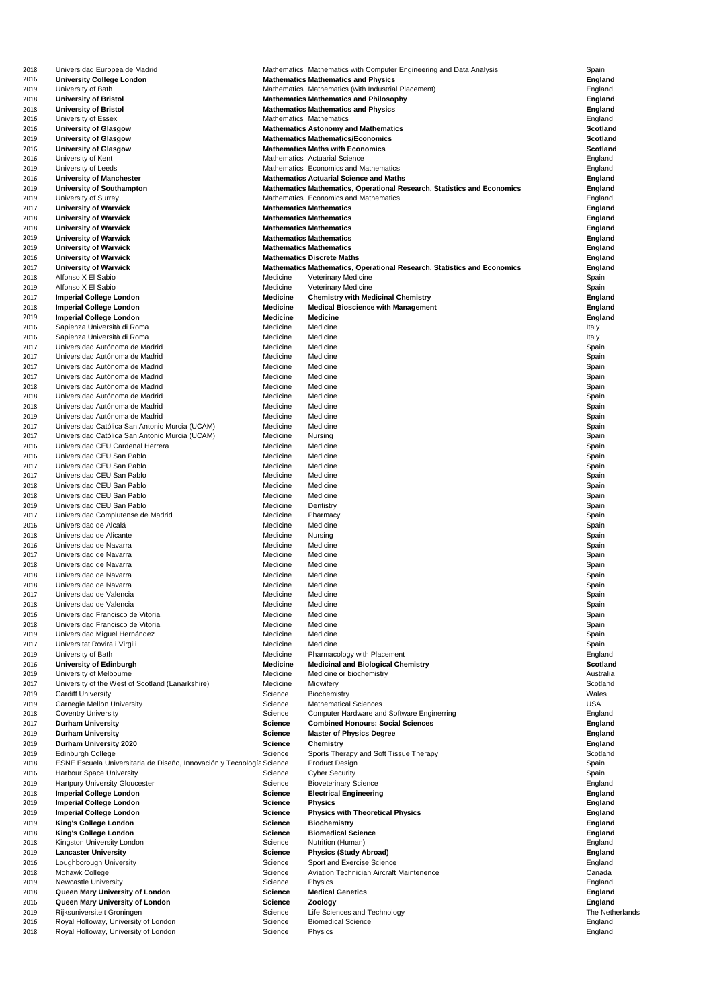| 2018 | Universidad Europea de Madrid                                         |                                | Mathematics Mathematics with Computer Engineering and Data Analysis            | Spain           |
|------|-----------------------------------------------------------------------|--------------------------------|--------------------------------------------------------------------------------|-----------------|
| 2016 | <b>University College London</b>                                      |                                | <b>Mathematics Mathematics and Physics</b>                                     | <b>England</b>  |
| 2019 | University of Bath                                                    |                                | Mathematics Mathematics (with Industrial Placement)                            | England         |
| 2018 | <b>University of Bristol</b>                                          |                                | <b>Mathematics Mathematics and Philosophy</b>                                  | <b>England</b>  |
| 2018 | <b>University of Bristol</b>                                          |                                | <b>Mathematics Mathematics and Physics</b>                                     | <b>England</b>  |
| 2016 | University of Essex                                                   | Mathematics Mathematics        |                                                                                | England         |
| 2016 | <b>University of Glasgow</b>                                          |                                | <b>Mathematics Astonomy and Mathematics</b>                                    | <b>Scotland</b> |
| 2019 | <b>University of Glasgow</b>                                          |                                | <b>Mathematics Mathematics/Economics</b>                                       | <b>Scotland</b> |
| 2016 | <b>University of Glasgow</b>                                          |                                | <b>Mathematics Maths with Economics</b>                                        | <b>Scotland</b> |
| 2016 | University of Kent                                                    |                                | <b>Mathematics Actuarial Science</b>                                           | England         |
|      |                                                                       |                                |                                                                                |                 |
| 2019 | University of Leeds                                                   |                                | Mathematics Economics and Mathematics                                          | England         |
| 2016 | <b>University of Manchester</b>                                       |                                | <b>Mathematics Actuarial Science and Maths</b>                                 | <b>England</b>  |
| 2019 | <b>University of Southampton</b>                                      |                                | <b>Mathematics Mathematics, Operational Research, Statistics and Economics</b> | <b>England</b>  |
| 2019 | University of Surrey                                                  |                                | Mathematics Economics and Mathematics                                          | England         |
| 2017 | <b>University of Warwick</b>                                          | <b>Mathematics Mathematics</b> |                                                                                | <b>England</b>  |
| 2018 | <b>University of Warwick</b>                                          | <b>Mathematics Mathematics</b> |                                                                                | <b>England</b>  |
| 2018 | <b>University of Warwick</b>                                          | <b>Mathematics Mathematics</b> |                                                                                | <b>England</b>  |
| 2019 | <b>University of Warwick</b>                                          | <b>Mathematics Mathematics</b> |                                                                                | <b>England</b>  |
| 2019 | <b>University of Warwick</b>                                          | <b>Mathematics Mathematics</b> |                                                                                | <b>England</b>  |
| 2016 | <b>University of Warwick</b>                                          |                                | <b>Mathematics Discrete Maths</b>                                              | <b>England</b>  |
| 2017 | <b>University of Warwick</b>                                          |                                | <b>Mathematics Mathematics, Operational Research, Statistics and Economics</b> | <b>England</b>  |
| 2018 | Alfonso X El Sabio                                                    | Medicine                       | <b>Veterinary Medicine</b>                                                     | Spain           |
| 2019 | Alfonso X El Sabio                                                    | Medicine                       | <b>Veterinary Medicine</b>                                                     | Spain           |
| 2017 | <b>Imperial College London</b>                                        | <b>Medicine</b>                | <b>Chemistry with Medicinal Chemistry</b>                                      | <b>England</b>  |
| 2018 | <b>Imperial College London</b>                                        | <b>Medicine</b>                | <b>Medical Bioscience with Management</b>                                      | <b>England</b>  |
| 2019 | <b>Imperial College London</b>                                        | <b>Medicine</b>                | <b>Medicine</b>                                                                | <b>England</b>  |
|      |                                                                       |                                |                                                                                |                 |
| 2016 | Sapienza Università di Roma                                           | Medicine                       | Medicine                                                                       | Italy           |
| 2016 | Sapienza Università di Roma                                           | Medicine                       | Medicine                                                                       | Italy           |
| 2017 | Universidad Autónoma de Madrid                                        | Medicine                       | Medicine                                                                       | Spain           |
| 2017 | Universidad Autónoma de Madrid                                        | Medicine                       | Medicine                                                                       | Spain           |
| 2017 | Universidad Autónoma de Madrid                                        | Medicine                       | Medicine                                                                       | Spain           |
| 2017 | Universidad Autónoma de Madrid                                        | Medicine                       | Medicine                                                                       | Spain           |
| 2018 | Universidad Autónoma de Madrid                                        | Medicine                       | Medicine                                                                       | Spain           |
| 2018 | Universidad Autónoma de Madrid                                        | Medicine                       | Medicine                                                                       | Spain           |
| 2018 | Universidad Autónoma de Madrid                                        | Medicine                       | Medicine                                                                       | Spain           |
|      |                                                                       |                                |                                                                                |                 |
| 2019 | Universidad Autónoma de Madrid                                        | Medicine                       | Medicine                                                                       | Spain           |
| 2017 | Universidad Católica San Antonio Murcia (UCAM)                        | Medicine                       | Medicine                                                                       | Spain           |
| 2017 | Universidad Católica San Antonio Murcia (UCAM)                        | Medicine                       | Nursing                                                                        | Spain           |
| 2016 | Universidad CEU Cardenal Herrera                                      | Medicine                       | Medicine                                                                       | Spain           |
| 2016 | Universidad CEU San Pablo                                             | Medicine                       | Medicine                                                                       | Spain           |
| 2017 | Universidad CEU San Pablo                                             | Medicine                       | Medicine                                                                       | Spain           |
| 2017 | Universidad CEU San Pablo                                             | Medicine                       | Medicine                                                                       | Spain           |
| 2018 | Universidad CEU San Pablo                                             | Medicine                       | Medicine                                                                       | Spain           |
| 2018 | Universidad CEU San Pablo                                             | Medicine                       | Medicine                                                                       | Spain           |
| 2019 | Universidad CEU San Pablo                                             | Medicine                       | Dentistry                                                                      | Spain           |
|      |                                                                       |                                |                                                                                |                 |
| 2017 | Universidad Complutense de Madrid                                     | Medicine                       | Pharmacy                                                                       | Spain           |
| 2016 | Universidad de Alcalá                                                 | Medicine                       | Medicine                                                                       | Spain           |
| 2018 | Universidad de Alicante                                               | Medicine                       | Nursing                                                                        | Spain           |
| 2016 | Universidad de Navarra                                                | Medicine                       | Medicine                                                                       | Spain           |
| 2017 | Universidad de Navarra                                                | Medicine                       | Medicine                                                                       | Spain           |
| 2018 | Universidad de Navarra                                                | Medicine                       | Medicine                                                                       | Spain           |
| 2018 | Universidad de Navarra                                                | Medicine                       | Medicine                                                                       | Spain           |
| 2018 | Universidad de Navarra                                                | Medicine                       | Medicine                                                                       | Spain           |
| 2017 | Universidad de Valencia                                               | Medicine                       | Medicine                                                                       | Spain           |
|      | Universidad de Valencia                                               | Medicine                       | Medicine                                                                       |                 |
| 2018 |                                                                       |                                |                                                                                | Spain           |
| 2016 | Universidad Francisco de Vitoria                                      | Medicine                       | Medicine                                                                       | Spain           |
| 2018 | Universidad Francisco de Vitoria                                      | Medicine                       | Medicine                                                                       | Spain           |
| 2019 | Universidad Miguel Hernández                                          | Medicine                       | Medicine                                                                       | Spain           |
| 2017 | Universitat Rovira i Virgili                                          | Medicine                       | Medicine                                                                       | Spain           |
| 2019 | University of Bath                                                    | Medicine                       | Pharmacology with Placement                                                    | England         |
| 2016 | <b>University of Edinburgh</b>                                        | <b>Medicine</b>                | <b>Medicinal and Biological Chemistry</b>                                      | <b>Scotland</b> |
| 2019 | University of Melbourne                                               | Medicine                       | Medicine or biochemistry                                                       | Australia       |
| 2017 | University of the West of Scotland (Lanarkshire)                      | Medicine                       | Midwifery                                                                      | Scotland        |
| 2019 | <b>Cardiff University</b>                                             | Science                        | Biochemistry                                                                   | Wales           |
| 2019 | <b>Carnegie Mellon University</b>                                     | Science                        | <b>Mathematical Sciences</b>                                                   | <b>USA</b>      |
|      |                                                                       |                                |                                                                                |                 |
| 2018 | <b>Coventry University</b>                                            | Science                        | <b>Computer Hardware and Software Enginerring</b>                              | England         |
| 2017 | <b>Durham University</b>                                              | <b>Science</b>                 | <b>Combined Honours: Social Sciences</b>                                       | <b>England</b>  |
| 2019 | <b>Durham University</b>                                              | <b>Science</b>                 | <b>Master of Physics Degree</b>                                                | <b>England</b>  |
| 2019 | <b>Durham University 2020</b>                                         | <b>Science</b>                 | <b>Chemistry</b>                                                               | <b>England</b>  |
| 2019 | <b>Edinburgh College</b>                                              | Science                        | Sports Therapy and Soft Tissue Therapy                                         | Scotland        |
| 2018 | ESNE Escuela Universitaria de Diseño, Innovación y Tecnología Science |                                | <b>Product Design</b>                                                          | Spain           |
| 2016 | <b>Harbour Space University</b>                                       | Science                        | <b>Cyber Security</b>                                                          | Spain           |
| 2019 | <b>Hartpury University Gloucester</b>                                 | Science                        | <b>Bioveterinary Science</b>                                                   | England         |
| 2018 | <b>Imperial College London</b>                                        | <b>Science</b>                 | <b>Electrical Engineering</b>                                                  | <b>England</b>  |
| 2019 | <b>Imperial College London</b>                                        | <b>Science</b>                 | <b>Physics</b>                                                                 | <b>England</b>  |
|      | <b>Imperial College London</b>                                        | <b>Science</b>                 |                                                                                |                 |
| 2019 |                                                                       |                                | <b>Physics with Theoretical Physics</b>                                        | <b>England</b>  |
| 2019 | <b>King's College London</b>                                          | <b>Science</b>                 | <b>Biochemistry</b>                                                            | <b>England</b>  |
| 2018 | <b>King's College London</b>                                          | <b>Science</b>                 | <b>Biomedical Science</b>                                                      | <b>England</b>  |
| 2018 | Kingston University London                                            | Science                        | Nutrition (Human)                                                              | England         |
| 2019 | <b>Lancaster University</b>                                           | <b>Science</b>                 | <b>Physics (Study Abroad)</b>                                                  | <b>England</b>  |
| 2016 | Loughborough University                                               | Science                        | Sport and Exercise Science                                                     | England         |
| 2018 | Mohawk College                                                        | Science                        | <b>Aviation Technician Aircraft Maintenence</b>                                | Canada          |
| 2019 | <b>Newcastle University</b>                                           | Science                        | Physics                                                                        | England         |
| 2018 | Queen Mary University of London                                       | <b>Science</b>                 | <b>Medical Genetics</b>                                                        | <b>England</b>  |
|      |                                                                       |                                |                                                                                |                 |
| 2016 | Queen Mary University of London                                       | <b>Science</b>                 | Zoology                                                                        | <b>England</b>  |
| 2019 | Rijksuniversiteit Groningen                                           | Science                        | Life Sciences and Technology                                                   | The Netherlands |
| 2016 | Royal Holloway, University of London                                  | Science                        | <b>Biomedical Science</b>                                                      | England         |
| 2018 | Royal Holloway, University of London                                  | Science                        | Physics                                                                        | England         |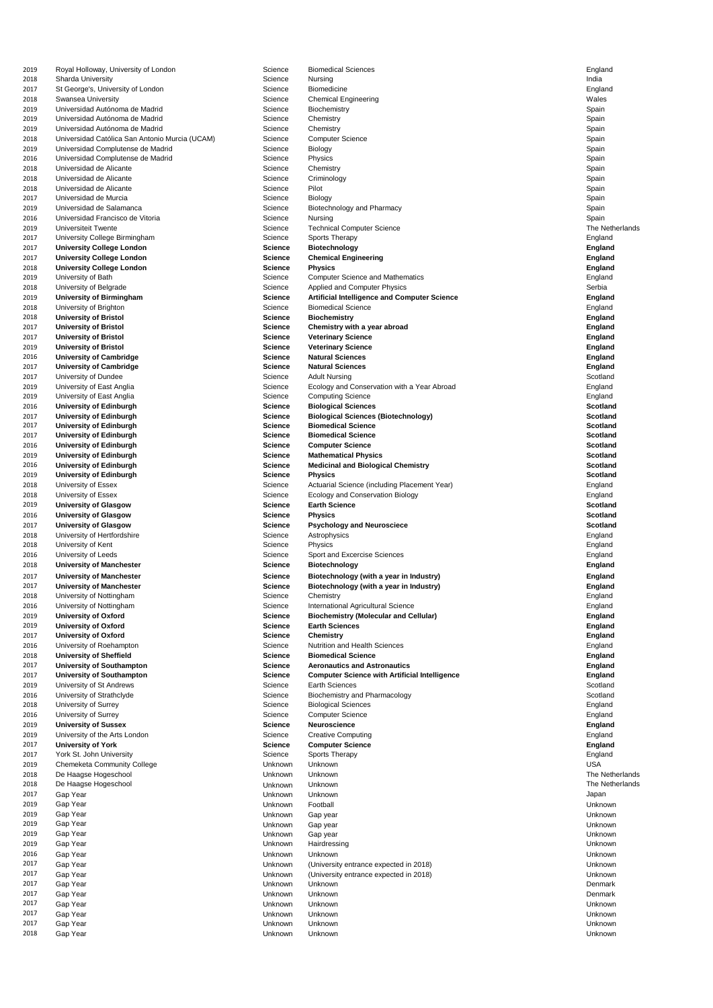| 2019         | Royal Holloway, University of London              | Science                   | <b>Biomedical Sciences</b>                           | England            |
|--------------|---------------------------------------------------|---------------------------|------------------------------------------------------|--------------------|
| 2018         | <b>Sharda University</b>                          | Science                   | Nursing                                              | India              |
| 2017         | St George's, University of London                 | Science                   | <b>Biomedicine</b>                                   | England            |
| 2018         | <b>Swansea University</b>                         | Science                   | <b>Chemical Engineering</b>                          | Wales              |
| 2019         | Universidad Autónoma de Madrid                    | Science                   | <b>Biochemistry</b>                                  | Spain              |
| 2019         | Universidad Autónoma de Madrid                    | Science                   | Chemistry                                            | Spain              |
| 2019         | Universidad Autónoma de Madrid                    | Science                   | Chemistry                                            | Spain              |
| 2018         | Universidad Católica San Antonio Murcia (UCAM)    | Science                   | <b>Computer Science</b>                              | Spain              |
| 2019         | Universidad Complutense de Madrid                 | Science                   | <b>Biology</b>                                       | Spain              |
| 2016         | Universidad Complutense de Madrid                 | Science                   | Physics                                              | Spain              |
| 2018         | Universidad de Alicante                           | Science                   | Chemistry                                            | Spain              |
| 2018         | Universidad de Alicante                           | Science                   | Criminology                                          | Spain              |
| 2018         | Universidad de Alicante<br>Universidad de Murcia  | Science                   | Pilot                                                | Spain              |
| 2017<br>2019 | Universidad de Salamanca                          | Science<br>Science        | <b>Biology</b><br>Biotechnology and Pharmacy         | Spain<br>Spain     |
| 2016         | Universidad Francisco de Vitoria                  | Science                   | <b>Nursing</b>                                       | Spain              |
| 2019         | <b>Universiteit Twente</b>                        | Science                   | <b>Technical Computer Science</b>                    | The Netherlands    |
| 2017         | University College Birmingham                     | Science                   | <b>Sports Therapy</b>                                | England            |
| 2017         | <b>University College London</b>                  | <b>Science</b>            | <b>Biotechnology</b>                                 | <b>England</b>     |
| 2017         | <b>University College London</b>                  | <b>Science</b>            | <b>Chemical Engineering</b>                          | <b>England</b>     |
| 2018         | <b>University College London</b>                  | <b>Science</b>            | <b>Physics</b>                                       | <b>England</b>     |
| 2019         | University of Bath                                | Science                   | <b>Computer Science and Mathematics</b>              | England            |
| 2018         | University of Belgrade                            | Science                   | <b>Applied and Computer Physics</b>                  | Serbia             |
| 2019         | <b>University of Birmingham</b>                   | <b>Science</b>            | <b>Artificial Intelligence and Computer Science</b>  | <b>England</b>     |
| 2018         | University of Brighton                            | Science                   | <b>Biomedical Science</b>                            | England            |
| 2018         | <b>University of Bristol</b>                      | <b>Science</b>            | <b>Biochemistry</b>                                  | <b>England</b>     |
| 2017         | <b>University of Bristol</b>                      | <b>Science</b>            | Chemistry with a year abroad                         | <b>England</b>     |
| 2017         | <b>University of Bristol</b>                      | <b>Science</b>            | <b>Veterinary Science</b>                            | <b>England</b>     |
| 2019         | <b>University of Bristol</b>                      | <b>Science</b>            | <b>Veterinary Science</b>                            | <b>England</b>     |
| 2016         | <b>University of Cambridge</b>                    | <b>Science</b>            | <b>Natural Sciences</b>                              | <b>England</b>     |
| 2017         | <b>University of Cambridge</b>                    | <b>Science</b>            | <b>Natural Sciences</b>                              | <b>England</b>     |
| 2017         | University of Dundee                              | Science                   | <b>Adult Nursing</b>                                 | Scotland           |
| 2019         | University of East Anglia                         | Science                   | Ecology and Conservation with a Year Abroad          | England            |
| 2019         | University of East Anglia                         | Science                   | <b>Computing Science</b>                             | England            |
| 2016         | <b>University of Edinburgh</b>                    | <b>Science</b>            | <b>Biological Sciences</b>                           | <b>Scotland</b>    |
| 2017         | <b>University of Edinburgh</b>                    | <b>Science</b>            | <b>Biological Sciences (Biotechnology)</b>           | <b>Scotland</b>    |
| 2017         | <b>University of Edinburgh</b>                    | <b>Science</b>            | <b>Biomedical Science</b>                            | <b>Scotland</b>    |
| 2017         | <b>University of Edinburgh</b>                    | <b>Science</b>            | <b>Biomedical Science</b>                            | <b>Scotland</b>    |
| 2016         | <b>University of Edinburgh</b>                    | <b>Science</b>            | <b>Computer Science</b>                              | <b>Scotland</b>    |
| 2019         | <b>University of Edinburgh</b>                    | <b>Science</b>            | <b>Mathematical Physics</b>                          | <b>Scotland</b>    |
| 2016         | <b>University of Edinburgh</b>                    | <b>Science</b>            | <b>Medicinal and Biological Chemistry</b>            | <b>Scotland</b>    |
| 2019         | <b>University of Edinburgh</b>                    | <b>Science</b>            | <b>Physics</b>                                       | <b>Scotland</b>    |
| 2018         | University of Essex                               | Science                   | Actuarial Science (including Placement Year)         | England            |
| 2018         | University of Essex                               | Science                   | <b>Ecology and Conservation Biology</b>              | England            |
| 2019         | <b>University of Glasgow</b>                      | <b>Science</b>            | <b>Earth Science</b>                                 | <b>Scotland</b>    |
| 2016         | <b>University of Glasgow</b>                      | <b>Science</b>            | <b>Physics</b>                                       | <b>Scotland</b>    |
| 2017         | <b>University of Glasgow</b>                      | <b>Science</b><br>Science | <b>Psychology and Neurosciece</b>                    | <b>Scotland</b>    |
| 2018<br>2018 | University of Hertfordshire<br>University of Kent | Science                   | Astrophysics<br><b>Physics</b>                       | England            |
| 2016         | University of Leeds                               | Science                   | Sport and Excercise Sciences                         | England<br>England |
| 2018         | <b>University of Manchester</b>                   | <b>Science</b>            | <b>Biotechnology</b>                                 | <b>England</b>     |
| 2017         | <b>University of Manchester</b>                   | <b>Science</b>            | Biotechnology (with a year in Industry)              | <b>England</b>     |
| 2017         | <b>University of Manchester</b>                   | <b>Science</b>            | Biotechnology (with a year in Industry)              | <b>England</b>     |
| 2018         | University of Nottingham                          | Science                   | Chemistry                                            | England            |
| 2016         | University of Nottingham                          | Science                   | International Agricultural Science                   | England            |
| 2019         | <b>University of Oxford</b>                       | <b>Science</b>            | <b>Biochemistry (Molecular and Cellular)</b>         | <b>England</b>     |
| 2019         | <b>University of Oxford</b>                       | <b>Science</b>            | <b>Earth Sciences</b>                                | <b>England</b>     |
| 2017         | <b>University of Oxford</b>                       | <b>Science</b>            | <b>Chemistry</b>                                     | <b>England</b>     |
| 2016         | University of Roehampton                          | Science                   | <b>Nutrition and Health Sciences</b>                 | England            |
| 2018         | <b>University of Sheffield</b>                    | Science                   | <b>Biomedical Science</b>                            | <b>England</b>     |
| 2017         | <b>University of Southampton</b>                  | <b>Science</b>            | <b>Aeronautics and Astronautics</b>                  | <b>England</b>     |
| 2017         | <b>University of Southampton</b>                  | <b>Science</b>            | <b>Computer Science with Artificial Intelligence</b> | <b>England</b>     |
| 2019         | University of St Andrews                          | Science                   | <b>Earth Sciences</b>                                | Scotland           |
| 2016         | University of Strathclyde                         | Science                   | <b>Biochemistry and Pharmacology</b>                 | Scotland           |
| 2018         | University of Surrey                              | Science                   | <b>Biological Sciences</b>                           | England            |
| 2016         | <b>University of Surrey</b>                       | Science                   | <b>Computer Science</b>                              | England            |
| 2019         | <b>University of Sussex</b>                       | <b>Science</b>            | <b>Neuroscience</b>                                  | <b>England</b>     |
| 2019         | University of the Arts London                     | Science                   | <b>Creative Computing</b>                            | England            |
| 2017         | <b>University of York</b>                         | <b>Science</b>            | <b>Computer Science</b>                              | <b>England</b>     |
| 2017         | York St. John University                          | Science                   | <b>Sports Therapy</b>                                | England            |
| 2019         | <b>Chemeketa Community College</b>                | Unknown                   | Unknown                                              | <b>USA</b>         |
| 2018         | De Haagse Hogeschool                              | Unknown                   | Unknown                                              | The Netherlands    |
| 2018         | De Haagse Hogeschool                              | Unknown                   | Unknown                                              | The Netherlands    |
| 2017         | Gap Year                                          | Unknown                   | Unknown                                              | Japan              |
| 2019         | Gap Year                                          | Unknown                   | Football                                             | Unknown            |
| 2019         | Gap Year                                          | Unknown                   | Gap year                                             | Unknown            |
| 2019         | Gap Year                                          | Unknown                   | Gap year                                             | Unknown            |
| 2019         | Gap Year                                          | Unknown                   | Gap year                                             | Unknown            |
| 2019         | Gap Year                                          | Unknown                   | Hairdressing                                         | Unknown            |
| 2016         | Gap Year                                          | Unknown                   | Unknown                                              | Unknown            |
| 2017         | Gap Year                                          | Unknown                   | (University entrance expected in 2018)               | Unknown            |
| 2017         | Gap Year                                          | Unknown                   | (University entrance expected in 2018)               | Unknown            |
| 2017         | Gap Year                                          | Unknown                   | Unknown                                              | Denmark            |
| 2017         | Gap Year                                          | Unknown                   | Unknown                                              | Denmark            |
| 2017<br>2017 | Gap Year                                          | Unknown                   | Unknown                                              | Unknown            |
| 2017         | Gap Year                                          | Unknown                   | Unknown<br>Unknown                                   | Unknown<br>Unknown |
| 2018         | Gap Year<br>Gap Year                              | Unknown<br>Unknown        | Unknown                                              | Unknown            |
|              |                                                   |                           |                                                      |                    |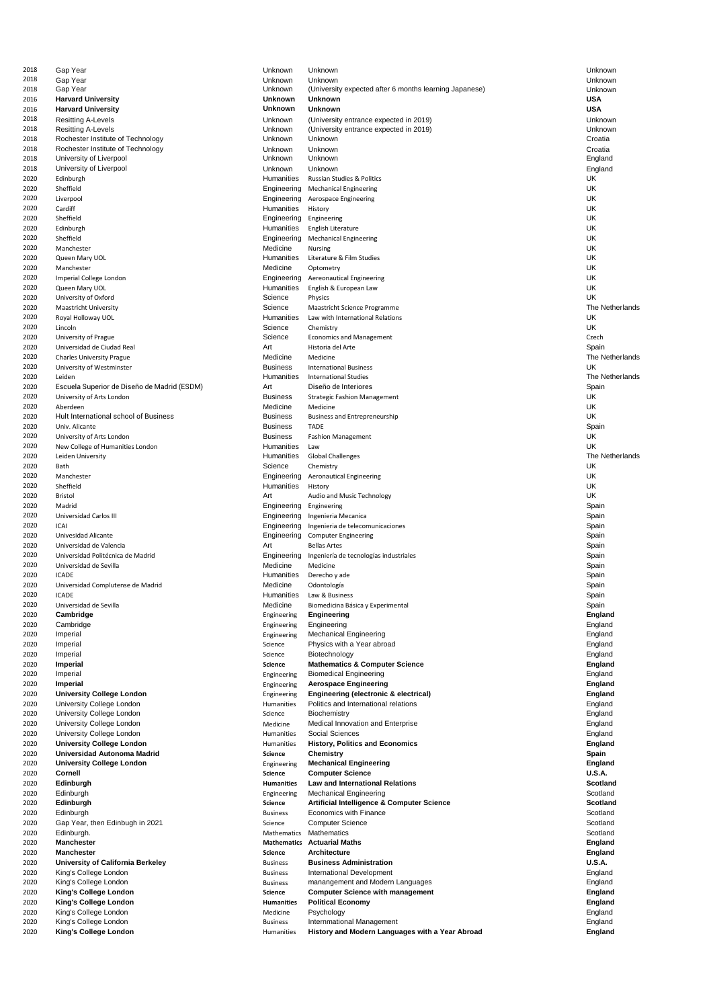| 2018 | Gap Year                                    | Unknown            | Unknown                                                | Unknown         |
|------|---------------------------------------------|--------------------|--------------------------------------------------------|-----------------|
| 2018 | Gap Year                                    | Unknown            | Unknown                                                | Unknown         |
| 2018 | Gap Year                                    | Unknown            | (University expected after 6 months learning Japanese) | Unknown         |
| 2016 | <b>Harvard University</b>                   | <b>Unknown</b>     | <b>Unknown</b>                                         | <b>USA</b>      |
|      |                                             |                    | <b>Unknown</b>                                         | <b>USA</b>      |
| 2016 | <b>Harvard University</b>                   | <b>Unknown</b>     |                                                        |                 |
| 2018 | <b>Resitting A-Levels</b>                   | Unknown            | (University entrance expected in 2019)                 | Unknown         |
| 2018 | <b>Resitting A-Levels</b>                   | Unknown            | (University entrance expected in 2019)                 | Unknown         |
| 2018 | Rochester Institute of Technology           | Unknown            | Unknown                                                | Croatia         |
| 2018 | Rochester Institute of Technology           | Unknown            | Unknown                                                | Croatia         |
| 2018 | University of Liverpool                     | Unknown            | Unknown                                                | England         |
| 2018 | University of Liverpool                     | Unknown            | Unknown                                                | England         |
| 2020 | Edinburgh                                   | <b>Humanities</b>  | <b>Russian Studies &amp; Politics</b>                  | UK              |
| 2020 | Sheffield                                   | Engineering        | <b>Mechanical Engineering</b>                          | <b>UK</b>       |
| 2020 | Liverpool                                   | Engineering        | <b>Aerospace Engineering</b>                           | <b>UK</b>       |
| 2020 | Cardiff                                     | Humanities         | History                                                | <b>UK</b>       |
|      |                                             |                    |                                                        | <b>UK</b>       |
| 2020 | Sheffield                                   | Engineering        | Engineering                                            |                 |
| 2020 | Edinburgh                                   | <b>Humanities</b>  | English Literature                                     | <b>UK</b>       |
| 2020 | Sheffield                                   | Engineering        | <b>Mechanical Engineering</b>                          | <b>UK</b>       |
| 2020 | Manchester                                  | Medicine           | <b>Nursing</b>                                         | <b>UK</b>       |
| 2020 | Queen Mary UOL                              | <b>Humanities</b>  | Literature & Film Studies                              | <b>UK</b>       |
| 2020 | Manchester                                  | Medicine           | Optometry                                              | UK              |
| 2020 | Imperial College London                     | Engineering        | <b>Aereonautical Engineering</b>                       | <b>UK</b>       |
| 2020 | Queen Mary UOL                              | <b>Humanities</b>  | English & European Law                                 | UK              |
| 2020 | University of Oxford                        | Science            | Physics                                                | <b>UK</b>       |
| 2020 | <b>Maastricht University</b>                | Science            | Maastricht Science Programme                           | The Netherlands |
| 2020 | Royal Holloway UOL                          | Humanities         | Law with International Relations                       | <b>UK</b>       |
| 2020 | Lincoln                                     | Science            | Chemistry                                              | <b>UK</b>       |
|      |                                             |                    |                                                        |                 |
| 2020 | University of Prague                        | Science            | <b>Economics and Management</b>                        | Czech           |
| 2020 | Universidad de Ciudad Real                  | Art                | Historia del Arte                                      | Spain           |
| 2020 | <b>Charles University Prague</b>            | Medicine           | Medicine                                               | The Netherlands |
| 2020 | University of Westminster                   | <b>Business</b>    | <b>International Business</b>                          | UK              |
| 2020 | Leiden                                      | Humanities         | <b>International Studies</b>                           | The Netherlands |
| 2020 | Escuela Superior de Diseño de Madrid (ESDM) | Art                | Diseño de Interiores                                   | Spain           |
| 2020 | University of Arts London                   | <b>Business</b>    | <b>Strategic Fashion Management</b>                    | UK              |
| 2020 | Aberdeen                                    | Medicine           | Medicine                                               | UK              |
| 2020 | Hult International school of Business       | <b>Business</b>    | <b>Business and Entrepreneurship</b>                   | UK              |
| 2020 | Univ. Alicante                              | <b>Business</b>    | <b>TADE</b>                                            | Spain           |
|      |                                             |                    |                                                        | UK              |
| 2020 | University of Arts London                   | <b>Business</b>    | <b>Fashion Management</b>                              |                 |
| 2020 | New College of Humanities London            | Humanities         | Law                                                    | <b>UK</b>       |
| 2020 | Leiden University                           | Humanities         | <b>Global Challenges</b>                               | The Netherlands |
| 2020 | Bath                                        | Science            | Chemistry                                              | UK              |
| 2020 | Manchester                                  | Engineering        | <b>Aeronautical Engineering</b>                        | UK              |
| 2020 | Sheffield                                   | Humanities         | History                                                | UK              |
| 2020 | <b>Bristol</b>                              | Art                | Audio and Music Technology                             | UK              |
| 2020 | Madrid                                      | Engineering        | Engineering                                            | Spain           |
| 2020 | Universidad Carlos III                      | Engineering        | Ingenieria Mecanica                                    | Spain           |
| 2020 | ICAI                                        | Engineering        | Ingenieria de telecomunicaciones                       | Spain           |
| 2020 | Univesidad Alicante                         |                    |                                                        | Spain           |
|      |                                             | Engineering        | <b>Computer Engineering</b>                            |                 |
| 2020 | Universidad de Valencia                     | Art                | <b>Bellas Artes</b>                                    | Spain           |
| 2020 | Universidad Politécnica de Madrid           | Engineering        | Ingeniería de tecnologías industriales                 | Spain           |
| 2020 | Universidad de Sevilla                      | Medicine           | Medicine                                               | Spain           |
| 2020 | <b>ICADE</b>                                | Humanities         | Derecho y ade                                          | Spain           |
| 2020 | Universidad Complutense de Madrid           | Medicine           | Odontología                                            | Spain           |
| 2020 | <b>ICADE</b>                                | Humanities         | Law & Business                                         | Spain           |
| 2020 | Universidad de Sevilla                      | Medicine           | Biomedicina Básica y Experimental                      | Spain           |
| 2020 | Cambridge                                   | Engineering        | <b>Engineering</b>                                     | <b>England</b>  |
| 2020 | Cambridge                                   | Engineering        | Engineering                                            | England         |
| 2020 | Imperial                                    | Engineering        | <b>Mechanical Engineering</b>                          | England         |
|      |                                             | Science            | Physics with a Year abroad                             |                 |
| 2020 | Imperial                                    |                    |                                                        | England         |
| 2020 | Imperial                                    | Science            | Biotechnology                                          | England         |
| 2020 | <b>Imperial</b>                             | <b>Science</b>     | <b>Mathematics &amp; Computer Science</b>              | <b>England</b>  |
| 2020 | Imperial                                    | Engineering        | <b>Biomedical Engineering</b>                          | England         |
| 2020 | <b>Imperial</b>                             | Engineering        | <b>Aerospace Engineering</b>                           | <b>England</b>  |
| 2020 | <b>University College London</b>            | Engineering        | Engineering (electronic & electrical)                  | <b>England</b>  |
| 2020 | <b>University College London</b>            | <b>Humanities</b>  | Politics and International relations                   | England         |
| 2020 | <b>University College London</b>            | Science            | <b>Biochemistry</b>                                    | England         |
| 2020 | <b>University College London</b>            | Medicine           | <b>Medical Innovation and Enterprise</b>               | England         |
| 2020 | <b>University College London</b>            | Humanities         | <b>Social Sciences</b>                                 | England         |
| 2020 | <b>University College London</b>            | Humanities         | <b>History, Politics and Economics</b>                 | <b>England</b>  |
| 2020 | Universidad Autonoma Madrid                 | <b>Science</b>     | <b>Chemistry</b>                                       | <b>Spain</b>    |
| 2020 | <b>University College London</b>            | Engineering        | <b>Mechanical Engineering</b>                          | <b>England</b>  |
| 2020 | <b>Cornell</b>                              | <b>Science</b>     | <b>Computer Science</b>                                | <b>U.S.A.</b>   |
| 2020 | <b>Edinburgh</b>                            | <b>Humanities</b>  | <b>Law and International Relations</b>                 | <b>Scotland</b> |
|      |                                             |                    |                                                        |                 |
| 2020 | Edinburgh                                   | Engineering        | <b>Mechanical Engineering</b>                          | Scotland        |
| 2020 | Edinburgh                                   | <b>Science</b>     | <b>Artificial Intelligence &amp; Computer Science</b>  | <b>Scotland</b> |
| 2020 | Edinburgh                                   | <b>Business</b>    | <b>Economics with Finance</b>                          | Scotland        |
| 2020 | Gap Year, then Edinbugh in 2021             | Science            | <b>Computer Science</b>                                | Scotland        |
| 2020 | Edinburgh.                                  | <b>Mathematics</b> | <b>Mathematics</b>                                     | Scotland        |
| 2020 | <b>Manchester</b>                           | <b>Mathematics</b> | <b>Actuarial Maths</b>                                 | <b>England</b>  |
| 2020 | <b>Manchester</b>                           | <b>Science</b>     | <b>Architecture</b>                                    | <b>England</b>  |
| 2020 | <b>University of California Berkeley</b>    | <b>Business</b>    | <b>Business Administration</b>                         | <b>U.S.A.</b>   |
| 2020 | King's College London                       | <b>Business</b>    | International Development                              | England         |
| 2020 | King's College London                       | <b>Business</b>    | manangement and Modern Languages                       | England         |
| 2020 |                                             | <b>Science</b>     | <b>Computer Science with management</b>                | <b>England</b>  |
|      | <b>King's College London</b>                |                    |                                                        |                 |
| 2020 | <b>King's College London</b>                | <b>Humanities</b>  | <b>Political Economy</b>                               | <b>England</b>  |
| 2020 | King's College London                       | Medicine           | Psychology                                             | England         |
| 2020 | King's College London                       | <b>Business</b>    | Internmational Management                              | England         |
| 2020 | <b>King's College London</b>                | Humanities         | History and Modern Languages with a Year Abroad        | <b>England</b>  |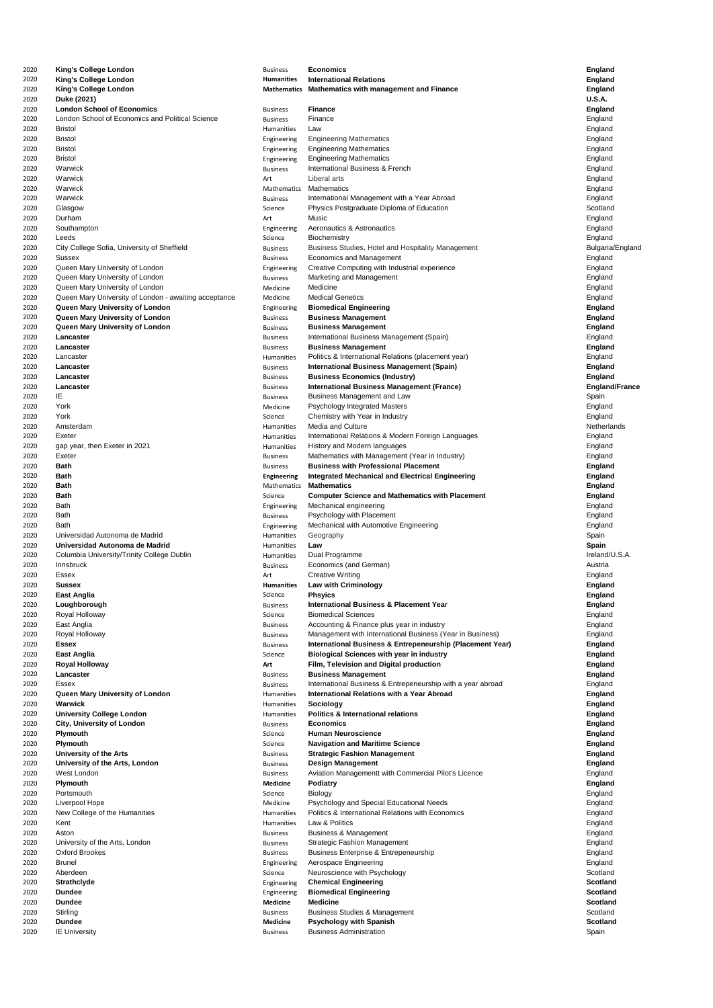| 2020         | <b>King's College London</b>                          | <b>Business</b>                | <b>Economics</b>                                                                              | <b>England</b>        |
|--------------|-------------------------------------------------------|--------------------------------|-----------------------------------------------------------------------------------------------|-----------------------|
| 2020         | <b>King's College London</b>                          | <b>Humanities</b>              | <b>International Relations</b>                                                                | <b>England</b>        |
| 2020         | <b>King's College London</b>                          | <b>Mathematics</b>             | <b>Mathematics with management and Finance</b>                                                | <b>England</b>        |
| 2020         | Duke (2021)                                           |                                |                                                                                               | <b>U.S.A.</b>         |
| 2020         | <b>London School of Economics</b>                     | <b>Business</b>                | <b>Finance</b>                                                                                | <b>England</b>        |
| 2020         | London School of Economics and Political Science      | <b>Business</b>                | Finance                                                                                       | England               |
| 2020         | <b>Bristol</b>                                        | Humanities                     | Law                                                                                           | England               |
| 2020         | <b>Bristol</b>                                        | Engineering                    | <b>Engineering Mathematics</b>                                                                | England               |
| 2020         | <b>Bristol</b>                                        | Engineering                    | <b>Engineering Mathematics</b>                                                                | England               |
| 2020         | <b>Bristol</b>                                        | Engineering                    | <b>Engineering Mathematics</b>                                                                | England               |
| 2020         | Warwick                                               | <b>Business</b>                | International Business & French                                                               | England               |
| 2020         | Warwick                                               | Art                            | Liberal arts                                                                                  | England               |
| 2020         | Warwick                                               | <b>Mathematics</b>             | <b>Mathematics</b>                                                                            | England               |
| 2020         | Warwick                                               | <b>Business</b>                | International Management with a Year Abroad                                                   | England               |
| 2020         | Glasgow                                               | Science                        | Physics Postgraduate Diploma of Education                                                     | Scotland              |
| 2020         | Durham                                                | Art                            | Music                                                                                         | England               |
| 2020         | Southampton                                           | Engineering                    | Aeronautics & Astronautics                                                                    | England               |
| 2020         | Leeds                                                 | Science                        | <b>Biochemistry</b>                                                                           | England               |
| 2020         | City College Sofia, University of Sheffield           | <b>Business</b>                | Business Studies, Hotel and Hospitality Management                                            | Bulgaria/England      |
| 2020         | <b>Sussex</b>                                         | <b>Business</b>                | <b>Economics and Management</b>                                                               | England               |
| 2020         | Queen Mary University of London                       | Engineering                    | Creative Computing with Industrial experience                                                 | England               |
| 2020         | Queen Mary University of London                       | <b>Business</b>                | Marketing and Management                                                                      | England               |
| 2020         | Queen Mary University of London                       | Medicine                       | Medicine                                                                                      | England               |
| 2020         | Queen Mary University of London - awaiting acceptance | Medicine                       | <b>Medical Genetics</b>                                                                       | England               |
| 2020         | Queen Mary University of London                       | Engineering                    | <b>Biomedical Engineering</b>                                                                 | <b>England</b>        |
| 2020         | Queen Mary University of London                       | <b>Business</b>                | <b>Business Management</b>                                                                    | <b>England</b>        |
| 2020         | Queen Mary University of London                       | <b>Business</b>                | <b>Business Management</b>                                                                    | <b>England</b>        |
| 2020         | Lancaster                                             | <b>Business</b>                | International Business Management (Spain)                                                     | England               |
| 2020         | Lancaster                                             | <b>Business</b>                | <b>Business Management</b>                                                                    | <b>England</b>        |
| 2020         | Lancaster                                             | <b>Humanities</b>              | Politics & International Relations (placement year)                                           | England               |
| 2020         | Lancaster                                             | <b>Business</b>                | <b>International Business Management (Spain)</b>                                              | <b>England</b>        |
| 2020         | Lancaster                                             | <b>Business</b>                | <b>Business Economics (Industry)</b>                                                          | <b>England</b>        |
| 2020         | Lancaster                                             | <b>Business</b>                | <b>International Business Management (France)</b>                                             | <b>England/France</b> |
| 2020         | IE                                                    | <b>Business</b>                | <b>Business Management and Law</b>                                                            | Spain                 |
| 2020         | York                                                  | Medicine                       | <b>Psychology Integrated Masters</b>                                                          | England               |
| 2020         | York                                                  | Science                        | Chemistry with Year in Industry                                                               | England               |
| 2020         | Amsterdam                                             | Humanities                     | Media and Culture                                                                             | Netherlands           |
| 2020         | Exeter                                                | Humanities                     | International Relations & Modern Foreign Languages                                            | England               |
| 2020         | gap year, then Exeter in 2021                         | Humanities                     | History and Modern languages                                                                  | England               |
| 2020         | Exeter<br><b>Bath</b>                                 | <b>Business</b>                | Mathematics with Management (Year in Industry)<br><b>Business with Professional Placement</b> | England               |
| 2020         | <b>Bath</b>                                           | <b>Business</b>                |                                                                                               | <b>England</b>        |
| 2020         |                                                       | <b>Engineering</b>             | <b>Integrated Mechanical and Electrical Engineering</b>                                       | <b>England</b>        |
| 2020<br>2020 | <b>Bath</b><br><b>Bath</b>                            | <b>Mathematics</b><br>Science  | <b>Mathematics</b>                                                                            | <b>England</b>        |
| 2020         | <b>Bath</b>                                           |                                | <b>Computer Science and Mathematics with Placement</b>                                        | <b>England</b>        |
| 2020         | <b>Bath</b>                                           | Engineering<br><b>Business</b> | Mechanical engineering<br>Psychology with Placement                                           | England<br>England    |
| 2020         | <b>Bath</b>                                           |                                | Mechanical with Automotive Engineering                                                        | England               |
| 2020         | Universidad Autonoma de Madrid                        | Engineering<br>Humanities      |                                                                                               | Spain                 |
| 2020         | Universidad Autonoma de Madrid                        | Humanities                     | Geography<br>Law                                                                              | <b>Spain</b>          |
| 2020         | Columbia University/Trinity College Dublin            | Humanities                     | Dual Programme                                                                                | Ireland/U.S.A.        |
| 2020         | Innsbruck                                             | <b>Business</b>                | Economics (and German)                                                                        | Austria               |
| 2020         | Essex                                                 | Art                            | <b>Creative Writing</b>                                                                       | England               |
| 2020         | <b>Sussex</b>                                         | <b>Humanities</b>              | <b>Law with Criminology</b>                                                                   | <b>England</b>        |
| 2020         | <b>East Anglia</b>                                    | Science                        | <b>Phsyics</b>                                                                                | <b>England</b>        |
| 2020         | Loughborough                                          | <b>Business</b>                | <b>International Business &amp; Placement Year</b>                                            | <b>England</b>        |
| 2020         | Royal Holloway                                        | Science                        | <b>Biomedical Sciences</b>                                                                    | England               |
| 2020         | East Anglia                                           | <b>Business</b>                | Accounting & Finance plus year in industry                                                    | England               |
| 2020         | Royal Holloway                                        | <b>Business</b>                | Management with International Business (Year in Business)                                     | England               |
| 2020         | <b>Essex</b>                                          | <b>Business</b>                | <b>International Business &amp; Entrepeneurship (Placement Year)</b>                          | <b>England</b>        |
| 2020         | <b>East Anglia</b>                                    | Science                        | <b>Biological Sciences with year in industry</b>                                              | <b>England</b>        |
| 2020         | <b>Royal Holloway</b>                                 | Art                            | Film, Television and Digital production                                                       | <b>England</b>        |
| 2020         | Lancaster                                             | <b>Business</b>                | <b>Business Management</b>                                                                    | <b>England</b>        |
| 2020         | <b>Essex</b>                                          | <b>Business</b>                | International Business & Entrepeneurship with a year abroad                                   | England               |
| 2020         | Queen Mary University of London                       | Humanities                     | <b>International Relations with a Year Abroad</b>                                             | <b>England</b>        |
| 2020         | <b>Warwick</b>                                        | Humanities                     | <b>Sociology</b>                                                                              | <b>England</b>        |
| 2020         | <b>University College London</b>                      | Humanities                     | <b>Politics &amp; International relations</b>                                                 | <b>England</b>        |
| 2020         | <b>City, University of London</b>                     | <b>Business</b>                | <b>Economics</b>                                                                              | <b>England</b>        |
| 2020         | <b>Plymouth</b>                                       | Science                        | <b>Human Neuroscience</b>                                                                     | <b>England</b>        |
| 2020         | <b>Plymouth</b>                                       | Science                        | <b>Navigation and Maritime Science</b>                                                        | <b>England</b>        |
| 2020         | <b>University of the Arts</b>                         | <b>Business</b>                | <b>Strategic Fashion Management</b>                                                           | <b>England</b>        |
| 2020         | University of the Arts, London                        | <b>Business</b>                | <b>Design Management</b>                                                                      | <b>England</b>        |
| 2020         | West London                                           | <b>Business</b>                | Aviation Managementt with Commercial Pilot's Licence                                          | England               |
| 2020         | <b>Plymouth</b>                                       | <b>Medicine</b>                | <b>Podiatry</b>                                                                               | <b>England</b>        |
| 2020         | Portsmouth                                            | Science                        | <b>Biology</b>                                                                                | England               |
| 2020         | Liverpool Hope                                        | Medicine                       | Psychology and Special Educational Needs                                                      | England               |
| 2020         | New College of the Humanities                         | Humanities                     | <b>Politics &amp; International Relations with Economics</b>                                  | England               |
| 2020         | Kent                                                  | Humanities                     | Law & Politics                                                                                | England               |
| 2020         | Aston                                                 | <b>Business</b>                | <b>Business &amp; Management</b>                                                              | England               |
| 2020         | University of the Arts, London                        | <b>Business</b>                | <b>Strategic Fashion Management</b>                                                           | England               |
| 2020         | <b>Oxford Brookes</b>                                 | <b>Business</b>                | <b>Business Enterprise &amp; Entrepeneurship</b>                                              | England               |
| 2020         | <b>Brunel</b>                                         | Engineering                    | Aerospace Engineering                                                                         | England               |
| 2020         | Aberdeen                                              | Science                        | Neuroscience with Psychology                                                                  | Scotland              |
| 2020         | <b>Strathclyde</b>                                    | Engineering                    | <b>Chemical Engineering</b>                                                                   | <b>Scotland</b>       |
| 2020         | <b>Dundee</b>                                         | Engineering                    | <b>Biomedical Engineering</b>                                                                 | <b>Scotland</b>       |
| 2020         | <b>Dundee</b>                                         | <b>Medicine</b>                | <b>Medicine</b>                                                                               | <b>Scotland</b>       |
| 2020         | Stirling                                              | <b>Business</b>                | <b>Business Studies &amp; Management</b>                                                      | Scotland              |
| 2020         | <b>Dundee</b>                                         | <b>Medicine</b>                | <b>Psychology with Spanish</b>                                                                | <b>Scotland</b>       |
| 2020         | <b>IE University</b>                                  | <b>Business</b>                | <b>Business Administration</b>                                                                | Spain                 |